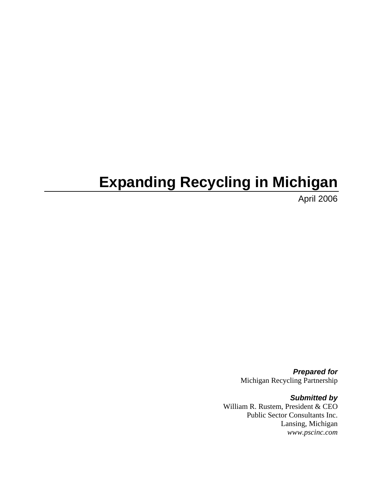# **Expanding Recycling in Michigan**

April 2006

*Prepared for*  Michigan Recycling Partnership

*Submitted by*  William R. Rustem, President & CEO Public Sector Consultants Inc. Lansing, Michigan *www.pscinc.com*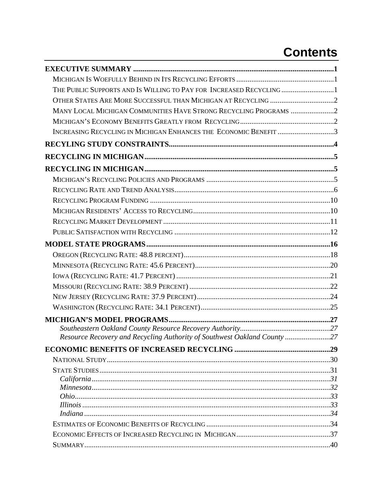# **Contents**

| THE PUBLIC SUPPORTS AND IS WILLING TO PAY FOR INCREASED RECYCLING 1      |  |
|--------------------------------------------------------------------------|--|
|                                                                          |  |
| MANY LOCAL MICHIGAN COMMUNITIES HAVE STRONG RECYCLING PROGRAMS 2         |  |
|                                                                          |  |
| INCREASING RECYCLING IN MICHIGAN ENHANCES THE ECONOMIC BENEFIT 3         |  |
|                                                                          |  |
|                                                                          |  |
|                                                                          |  |
|                                                                          |  |
|                                                                          |  |
|                                                                          |  |
|                                                                          |  |
|                                                                          |  |
|                                                                          |  |
|                                                                          |  |
|                                                                          |  |
|                                                                          |  |
|                                                                          |  |
|                                                                          |  |
|                                                                          |  |
|                                                                          |  |
|                                                                          |  |
|                                                                          |  |
| Resource Recovery and Recycling Authority of Southwest Oakland County 27 |  |
|                                                                          |  |
|                                                                          |  |
|                                                                          |  |
|                                                                          |  |
|                                                                          |  |
|                                                                          |  |
|                                                                          |  |
|                                                                          |  |
|                                                                          |  |
|                                                                          |  |
|                                                                          |  |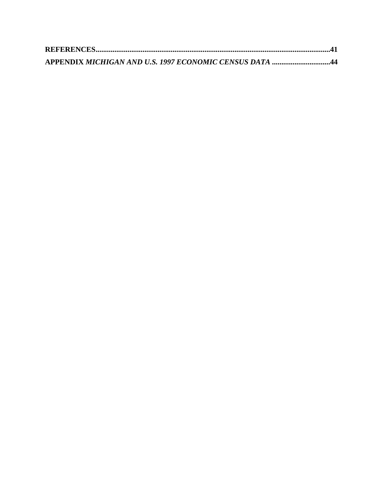| APPENDIX MICHIGAN AND U.S. 1997 ECONOMIC CENSUS DATA 44 |  |
|---------------------------------------------------------|--|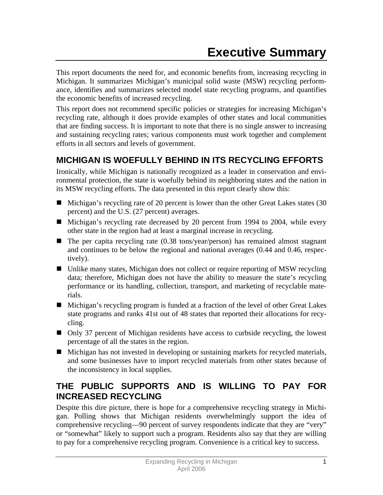This report documents the need for, and economic benefits from, increasing recycling in Michigan. It summarizes Michigan's municipal solid waste (MSW) recycling performance, identifies and summarizes selected model state recycling programs, and quantifies the economic benefits of increased recycling.

This report does not recommend specific policies or strategies for increasing Michigan's recycling rate, although it does provide examples of other states and local communities that are finding success. It is important to note that there is no single answer to increasing and sustaining recycling rates; various components must work together and complement efforts in all sectors and levels of government.

# **MICHIGAN IS WOEFULLY BEHIND IN ITS RECYCLING EFFORTS**

Ironically, while Michigan is nationally recognized as a leader in conservation and environmental protection, the state is woefully behind its neighboring states and the nation in its MSW recycling efforts. The data presented in this report clearly show this:

- $\blacksquare$  Michigan's recycling rate of 20 percent is lower than the other Great Lakes states (30 percent) and the U.S. (27 percent) averages.
- Michigan's recycling rate decreased by 20 percent from 1994 to 2004, while every other state in the region had at least a marginal increase in recycling.
- $\blacksquare$  The per capita recycling rate (0.38 tons/year/person) has remained almost stagnant and continues to be below the regional and national averages (0.44 and 0.46, respectively).
- Unlike many states, Michigan does not collect or require reporting of MSW recycling data; therefore, Michigan does not have the ability to measure the state's recycling performance or its handling, collection, transport, and marketing of recyclable materials.
- Michigan's recycling program is funded at a fraction of the level of other Great Lakes state programs and ranks 41st out of 48 states that reported their allocations for recycling.
- Only 37 percent of Michigan residents have access to curbside recycling, the lowest percentage of all the states in the region.
- Michigan has not invested in developing or sustaining markets for recycled materials, and some businesses have to import recycled materials from other states because of the inconsistency in local supplies.

## **THE PUBLIC SUPPORTS AND IS WILLING TO PAY FOR INCREASED RECYCLING**

Despite this dire picture, there is hope for a comprehensive recycling strategy in Michigan. Polling shows that Michigan residents overwhelmingly support the idea of comprehensive recycling—90 percent of survey respondents indicate that they are "very" or "somewhat" likely to support such a program. Residents also say that they are willing to pay for a comprehensive recycling program. Convenience is a critical key to success.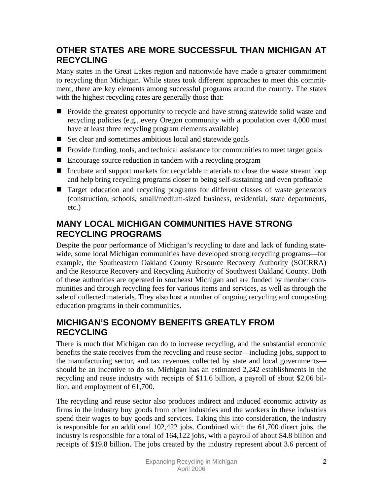## **OTHER STATES ARE MORE SUCCESSFUL THAN MICHIGAN AT RECYCLING**

Many states in the Great Lakes region and nationwide have made a greater commitment to recycling than Michigan. While states took different approaches to meet this commitment, there are key elements among successful programs around the country. The states with the highest recycling rates are generally those that:

- **Provide the greatest opportunity to recycle and have strong statewide solid waste and** recycling policies (e.g., every Oregon community with a population over 4,000 must have at least three recycling program elements available)
- $\blacksquare$  Set clear and sometimes ambitious local and statewide goals
- **Provide funding, tools, and technical assistance for communities to meet target goals**
- Encourage source reduction in tandem with a recycling program
- Incubate and support markets for recyclable materials to close the waste stream loop and help bring recycling programs closer to being self-sustaining and even profitable
- Target education and recycling programs for different classes of waste generators (construction, schools, small/medium-sized business, residential, state departments, etc.)

### **MANY LOCAL MICHIGAN COMMUNITIES HAVE STRONG RECYCLING PROGRAMS**

Despite the poor performance of Michigan's recycling to date and lack of funding statewide, some local Michigan communities have developed strong recycling programs—for example, the Southeastern Oakland County Resource Recovery Authority (SOCRRA) and the Resource Recovery and Recycling Authority of Southwest Oakland County. Both of these authorities are operated in southeast Michigan and are funded by member communities and through recycling fees for various items and services, as well as through the sale of collected materials. They also host a number of ongoing recycling and composting education programs in their communities.

## **MICHIGAN'S ECONOMY BENEFITS GREATLY FROM RECYCLING**

There is much that Michigan can do to increase recycling, and the substantial economic benefits the state receives from the recycling and reuse sector—including jobs, support to the manufacturing sector, and tax revenues collected by state and local governments should be an incentive to do so. Michigan has an estimated 2,242 establishments in the recycling and reuse industry with receipts of \$11.6 billion, a payroll of about \$2.06 billion, and employment of 61,700.

The recycling and reuse sector also produces indirect and induced economic activity as firms in the industry buy goods from other industries and the workers in these industries spend their wages to buy goods and services. Taking this into consideration, the industry is responsible for an additional 102,422 jobs. Combined with the 61,700 direct jobs, the industry is responsible for a total of 164,122 jobs, with a payroll of about \$4.8 billion and receipts of \$19.8 billion. The jobs created by the industry represent about 3.6 percent of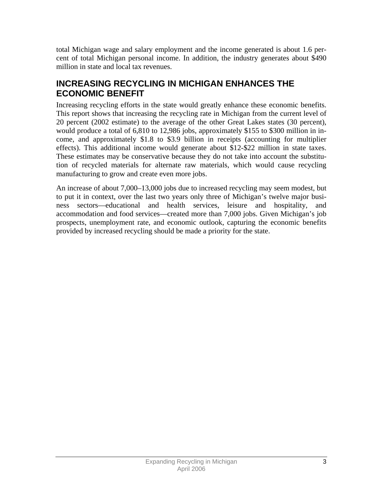total Michigan wage and salary employment and the income generated is about 1.6 percent of total Michigan personal income. In addition, the industry generates about \$490 million in state and local tax revenues.

## **INCREASING RECYCLING IN MICHIGAN ENHANCES THE ECONOMIC BENEFIT**

Increasing recycling efforts in the state would greatly enhance these economic benefits. This report shows that increasing the recycling rate in Michigan from the current level of 20 percent (2002 estimate) to the average of the other Great Lakes states (30 percent), would produce a total of 6,810 to 12,986 jobs, approximately \$155 to \$300 million in income, and approximately \$1.8 to \$3.9 billion in receipts (accounting for multiplier effects). This additional income would generate about \$12-\$22 million in state taxes. These estimates may be conservative because they do not take into account the substitution of recycled materials for alternate raw materials, which would cause recycling manufacturing to grow and create even more jobs.

An increase of about 7,000–13,000 jobs due to increased recycling may seem modest, but to put it in context, over the last two years only three of Michigan's twelve major business sectors—educational and health services, leisure and hospitality, and accommodation and food services—created more than 7,000 jobs. Given Michigan's job prospects, unemployment rate, and economic outlook, capturing the economic benefits provided by increased recycling should be made a priority for the state.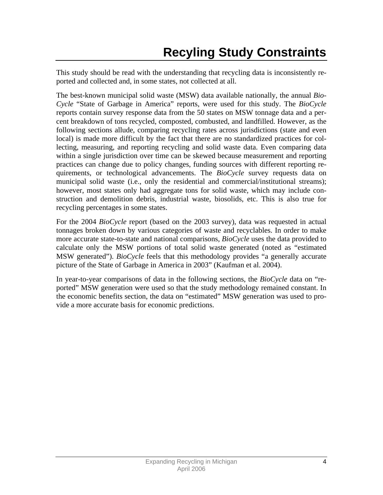This study should be read with the understanding that recycling data is inconsistently reported and collected and, in some states, not collected at all.

The best-known municipal solid waste (MSW) data available nationally, the annual *Bio-Cycle* "State of Garbage in America" reports, were used for this study. The *BioCycle* reports contain survey response data from the 50 states on MSW tonnage data and a percent breakdown of tons recycled, composted, combusted, and landfilled. However, as the following sections allude, comparing recycling rates across jurisdictions (state and even local) is made more difficult by the fact that there are no standardized practices for collecting, measuring, and reporting recycling and solid waste data. Even comparing data within a single jurisdiction over time can be skewed because measurement and reporting practices can change due to policy changes, funding sources with different reporting requirements, or technological advancements. The *BioCycle* survey requests data on municipal solid waste (i.e., only the residential and commercial/institutional streams); however, most states only had aggregate tons for solid waste, which may include construction and demolition debris, industrial waste, biosolids, etc. This is also true for recycling percentages in some states.

For the 2004 *BioCycle* report (based on the 2003 survey), data was requested in actual tonnages broken down by various categories of waste and recyclables. In order to make more accurate state-to-state and national comparisons, *BioCycle* uses the data provided to calculate only the MSW portions of total solid waste generated (noted as "estimated MSW generated"). *BioCycle* feels that this methodology provides "a generally accurate picture of the State of Garbage in America in 2003" (Kaufman et al. 2004).

In year-to-year comparisons of data in the following sections, the *BioCycle* data on "reported" MSW generation were used so that the study methodology remained constant. In the economic benefits section, the data on "estimated" MSW generation was used to provide a more accurate basis for economic predictions.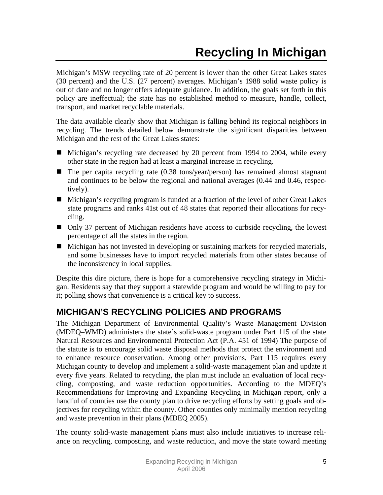Michigan's MSW recycling rate of 20 percent is lower than the other Great Lakes states (30 percent) and the U.S. (27 percent) averages. Michigan's 1988 solid waste policy is out of date and no longer offers adequate guidance. In addition, the goals set forth in this policy are ineffectual; the state has no established method to measure, handle, collect, transport, and market recyclable materials.

The data available clearly show that Michigan is falling behind its regional neighbors in recycling. The trends detailed below demonstrate the significant disparities between Michigan and the rest of the Great Lakes states:

- Michigan's recycling rate decreased by 20 percent from 1994 to 2004, while every other state in the region had at least a marginal increase in recycling.
- $\blacksquare$  The per capita recycling rate (0.38 tons/year/person) has remained almost stagnant and continues to be below the regional and national averages (0.44 and 0.46, respectively).
- Michigan's recycling program is funded at a fraction of the level of other Great Lakes state programs and ranks 41st out of 48 states that reported their allocations for recycling.
- Only 37 percent of Michigan residents have access to curbside recycling, the lowest percentage of all the states in the region.
- Michigan has not invested in developing or sustaining markets for recycled materials, and some businesses have to import recycled materials from other states because of the inconsistency in local supplies.

Despite this dire picture, there is hope for a comprehensive recycling strategy in Michigan. Residents say that they support a statewide program and would be willing to pay for it; polling shows that convenience is a critical key to success.

# **MICHIGAN'S RECYCLING POLICIES AND PROGRAMS**

The Michigan Department of Environmental Quality's Waste Management Division (MDEQ–WMD) administers the state's solid-waste program under Part 115 of the state Natural Resources and Environmental Protection Act (P.A. 451 of 1994) The purpose of the statute is to encourage solid waste disposal methods that protect the environment and to enhance resource conservation. Among other provisions, Part 115 requires every Michigan county to develop and implement a solid-waste management plan and update it every five years. Related to recycling, the plan must include an evaluation of local recycling, composting, and waste reduction opportunities. According to the MDEQ's Recommendations for Improving and Expanding Recycling in Michigan report, only a handful of counties use the county plan to drive recycling efforts by setting goals and objectives for recycling within the county. Other counties only minimally mention recycling and waste prevention in their plans (MDEQ 2005).

The county solid-waste management plans must also include initiatives to increase reliance on recycling, composting, and waste reduction, and move the state toward meeting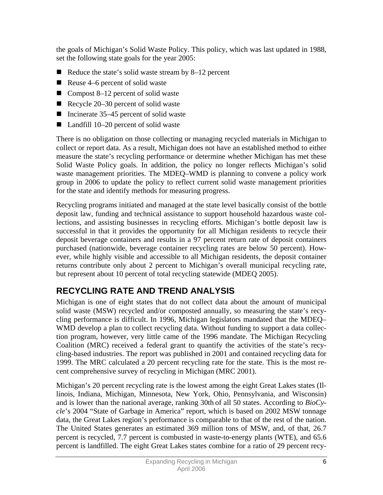the goals of Michigan's Solid Waste Policy. This policy, which was last updated in 1988, set the following state goals for the year 2005:

- Reduce the state's solid waste stream by  $8-12$  percent
- Reuse 4–6 percent of solid waste
- Compost 8–12 percent of solid waste
- Recycle  $20-30$  percent of solid waste
- Incinerate  $35-45$  percent of solid waste
- Landfill 10–20 percent of solid waste

There is no obligation on those collecting or managing recycled materials in Michigan to collect or report data. As a result, Michigan does not have an established method to either measure the state's recycling performance or determine whether Michigan has met these Solid Waste Policy goals. In addition, the policy no longer reflects Michigan's solid waste management priorities. The MDEQ–WMD is planning to convene a policy work group in 2006 to update the policy to reflect current solid waste management priorities for the state and identify methods for measuring progress.

Recycling programs initiated and managed at the state level basically consist of the bottle deposit law, funding and technical assistance to support household hazardous waste collections, and assisting businesses in recycling efforts. Michigan's bottle deposit law is successful in that it provides the opportunity for all Michigan residents to recycle their deposit beverage containers and results in a 97 percent return rate of deposit containers purchased (nationwide, beverage container recycling rates are below 50 percent). However, while highly visible and accessible to all Michigan residents, the deposit container returns contribute only about 2 percent to Michigan's overall municipal recycling rate, but represent about 10 percent of total recycling statewide (MDEQ 2005).

# **RECYCLING RATE AND TREND ANALYSIS**

Michigan is one of eight states that do not collect data about the amount of municipal solid waste (MSW) recycled and/or composted annually, so measuring the state's recycling performance is difficult. In 1996, Michigan legislators mandated that the MDEQ– WMD develop a plan to collect recycling data. Without funding to support a data collection program, however, very little came of the 1996 mandate. The Michigan Recycling Coalition (MRC) received a federal grant to quantify the activities of the state's recycling-based industries. The report was published in 2001 and contained recycling data for 1999. The MRC calculated a 20 percent recycling rate for the state. This is the most recent comprehensive survey of recycling in Michigan (MRC 2001).

Michigan's 20 percent recycling rate is the lowest among the eight Great Lakes states (Illinois, Indiana, Michigan, Minnesota, New York, Ohio, Pennsylvania, and Wisconsin) and is lower than the national average, ranking 30th of all 50 states. According to *BioCycle*'s 2004 "State of Garbage in America" report, which is based on 2002 MSW tonnage data, the Great Lakes region's performance is comparable to that of the rest of the nation. The United States generates an estimated 369 million tons of MSW, and, of that, 26.7 percent is recycled, 7.7 percent is combusted in waste-to-energy plants (WTE), and 65.6 percent is landfilled. The eight Great Lakes states combine for a ratio of 29 percent recy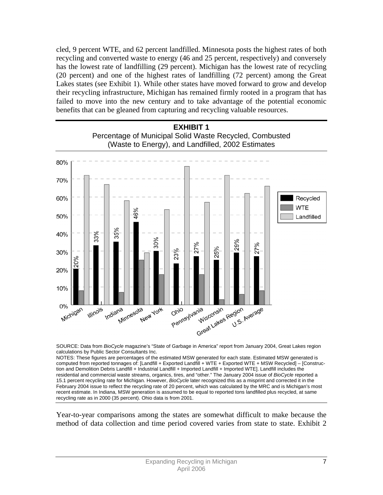cled, 9 percent WTE, and 62 percent landfilled. Minnesota posts the highest rates of both recycling and converted waste to energy (46 and 25 percent, respectively) and conversely has the lowest rate of landfilling (29 percent). Michigan has the lowest rate of recycling (20 percent) and one of the highest rates of landfilling (72 percent) among the Great Lakes states (see Exhibit 1). While other states have moved forward to grow and develop their recycling infrastructure, Michigan has remained firmly rooted in a program that has failed to move into the new century and to take advantage of the potential economic benefits that can be gleaned from capturing and recycling valuable resources.



SOURCE: Data from *BioCycle* magazine's "State of Garbage in America" report from January 2004, Great Lakes region calculations by Public Sector Consultants Inc.

NOTES: These figures are percentages of the estimated MSW generated for each state. Estimated MSW generated is computed from reported tonnages of: [Landfill + Exported Landfill + WTE + Exported WTE + MSW Recycled] – [Construction and Demolition Debris Landfill + Industrial Landfill + Imported Landfill + Imported WTE]. Landfill includes the residential and commercial waste streams, organics, tires, and "other." The January 2004 issue of *BioCycle* reported a 15.1 percent recycling rate for Michigan. However, *BioCycle* later recognized this as a misprint and corrected it in the February 2004 issue to reflect the recycling rate of 20 percent, which was calculated by the MRC and is Michigan's most recent estimate. In Indiana, MSW generation is assumed to be equal to reported tons landfilled plus recycled, at same recycling rate as in 2000 (35 percent). Ohio data is from 2001.

Year-to-year comparisons among the states are somewhat difficult to make because the method of data collection and time period covered varies from state to state. Exhibit 2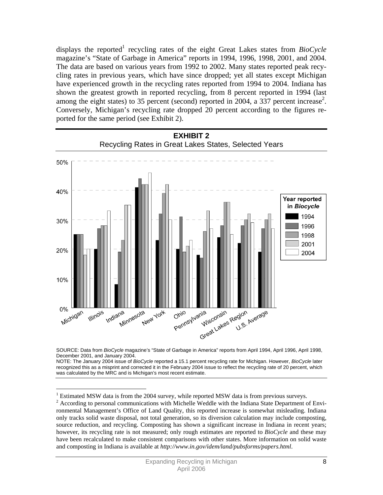displays the reported<sup>1</sup> recycling rates of the eight Great Lakes states from *BioCycle* magazine's "State of Garbage in America" reports in 1994, 1996, 1998, 2001, and 2004. The data are based on various years from 1992 to 2002. Many states reported peak recycling rates in previous years, which have since dropped; yet all states except Michigan have experienced growth in the recycling rates reported from 1994 to 2004. Indiana has shown the greatest growth in reported recycling, from 8 percent reported in 1994 (last among the eight states) to 35 percent (second) reported in 2004, a 337 percent increase<sup>2</sup>. Conversely, Michigan's recycling rate dropped 20 percent according to the figures reported for the same period (see Exhibit 2).





NOTE: The January 2004 issue of *BioCycle* reported a 15.1 percent recycling rate for Michigan. However, *BioCycle* later recognized this as a misprint and corrected it in the February 2004 issue to reflect the recycling rate of 20 percent, which was calculated by the MRC and is Michigan's most recent estimate.

 $\overline{a}$ 

 $1$  Estimated MSW data is from the 2004 survey, while reported MSW data is from previous surveys.

 $2 \text{ According to personal communications with Michelle Wedtle with the Indiana State Department of Envi$ ronmental Management's Office of Land Quality, this reported increase is somewhat misleading. Indiana only tracks solid waste disposal, not total generation, so its diversion calculation may include composting, source reduction, and recycling. Composting has shown a significant increase in Indiana in recent years; however, its recycling rate is not measured; only rough estimates are reported to *BioCycle* and these may have been recalculated to make consistent comparisons with other states. More information on solid waste and composting in Indiana is available at *http://www.in.gov/idem/land/pubsforms/papers.html*.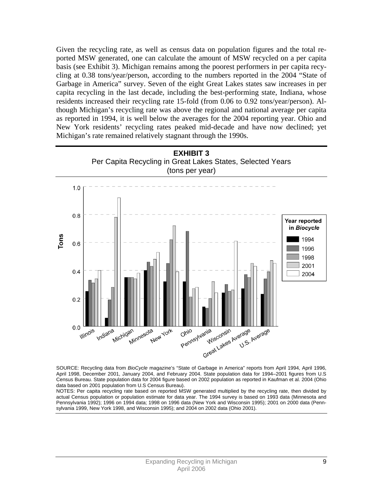Given the recycling rate, as well as census data on population figures and the total reported MSW generated, one can calculate the amount of MSW recycled on a per capita basis (see Exhibit 3). Michigan remains among the poorest performers in per capita recycling at 0.38 tons/year/person, according to the numbers reported in the 2004 "State of Garbage in America" survey. Seven of the eight Great Lakes states saw increases in per capita recycling in the last decade, including the best-performing state, Indiana, whose residents increased their recycling rate 15-fold (from 0.06 to 0.92 tons/year/person). Although Michigan's recycling rate was above the regional and national average per capita as reported in 1994, it is well below the averages for the 2004 reporting year. Ohio and New York residents' recycling rates peaked mid-decade and have now declined; yet Michigan's rate remained relatively stagnant through the 1990s.



SOURCE: Recycling data from *BioCycle* magazine's "State of Garbage in America" reports from April 1994, April 1996, April 1998, December 2001, January 2004, and February 2004. State population data for 1994–2001 figures from U.S Census Bureau. State population data for 2004 figure based on 2002 population as reported in Kaufman et al. 2004 (Ohio data based on 2001 population from U.S Census Bureau).

NOTES: Per capita recycling rate based on reported MSW generated multiplied by the recycling rate, then divided by actual Census population or population estimate for data year. The 1994 survey is based on 1993 data (Minnesota and Pennsylvania 1992); 1996 on 1994 data; 1998 on 1996 data (New York and Wisconsin 1995); 2001 on 2000 data (Pennsylvania 1999, New York 1998, and Wisconsin 1995); and 2004 on 2002 data (Ohio 2001).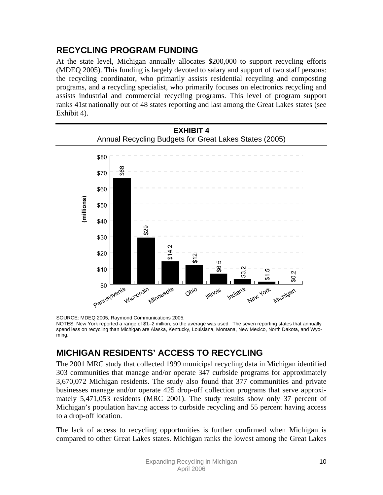## **RECYCLING PROGRAM FUNDING**

At the state level, Michigan annually allocates \$200,000 to support recycling efforts (MDEQ 2005). This funding is largely devoted to salary and support of two staff persons: the recycling coordinator, who primarily assists residential recycling and composting programs, and a recycling specialist, who primarily focuses on electronics recycling and assists industrial and commercial recycling programs. This level of program support ranks 41st nationally out of 48 states reporting and last among the Great Lakes states (see Exhibit 4).



SOURCE: MDEQ 2005, Raymond Communications 2005.

NOTES: New York reported a range of \$1–2 million, so the average was used. The seven reporting states that annually spend less on recycling than Michigan are Alaska, Kentucky, Louisiana, Montana, New Mexico, North Dakota, and Wyoming.

## **MICHIGAN RESIDENTS' ACCESS TO RECYCLING**

The 2001 MRC study that collected 1999 municipal recycling data in Michigan identified 303 communities that manage and/or operate 347 curbside programs for approximately 3,670,072 Michigan residents. The study also found that 377 communities and private businesses manage and/or operate 425 drop-off collection programs that serve approximately 5,471,053 residents (MRC 2001). The study results show only 37 percent of Michigan's population having access to curbside recycling and 55 percent having access to a drop-off location.

The lack of access to recycling opportunities is further confirmed when Michigan is compared to other Great Lakes states. Michigan ranks the lowest among the Great Lakes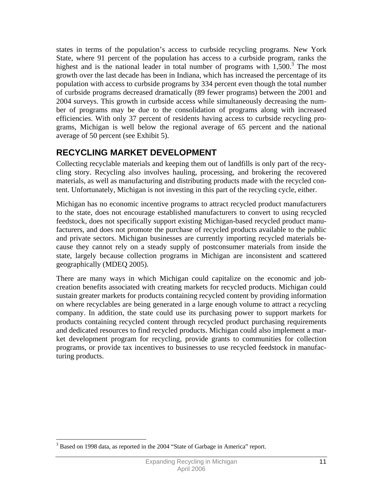states in terms of the population's access to curbside recycling programs. New York State, where 91 percent of the population has access to a curbside program, ranks the highest and is the national leader in total number of programs with  $1,500$ .<sup>3</sup> The most growth over the last decade has been in Indiana, which has increased the percentage of its population with access to curbside programs by 334 percent even though the total number of curbside programs decreased dramatically (89 fewer programs) between the 2001 and 2004 surveys. This growth in curbside access while simultaneously decreasing the number of programs may be due to the consolidation of programs along with increased efficiencies. With only 37 percent of residents having access to curbside recycling programs, Michigan is well below the regional average of 65 percent and the national average of 50 percent (see Exhibit 5).

## **RECYCLING MARKET DEVELOPMENT**

Collecting recyclable materials and keeping them out of landfills is only part of the recycling story. Recycling also involves hauling, processing, and brokering the recovered materials, as well as manufacturing and distributing products made with the recycled content. Unfortunately, Michigan is not investing in this part of the recycling cycle, either.

Michigan has no economic incentive programs to attract recycled product manufacturers to the state, does not encourage established manufacturers to convert to using recycled feedstock, does not specifically support existing Michigan-based recycled product manufacturers, and does not promote the purchase of recycled products available to the public and private sectors. Michigan businesses are currently importing recycled materials because they cannot rely on a steady supply of postconsumer materials from inside the state, largely because collection programs in Michigan are inconsistent and scattered geographically (MDEQ 2005).

There are many ways in which Michigan could capitalize on the economic and jobcreation benefits associated with creating markets for recycled products. Michigan could sustain greater markets for products containing recycled content by providing information on where recyclables are being generated in a large enough volume to attract a recycling company. In addition, the state could use its purchasing power to support markets for products containing recycled content through recycled product purchasing requirements and dedicated resources to find recycled products. Michigan could also implement a market development program for recycling, provide grants to communities for collection programs, or provide tax incentives to businesses to use recycled feedstock in manufacturing products.

 $\overline{a}$ <sup>3</sup> Based on 1998 data, as reported in the 2004 "State of Garbage in America" report.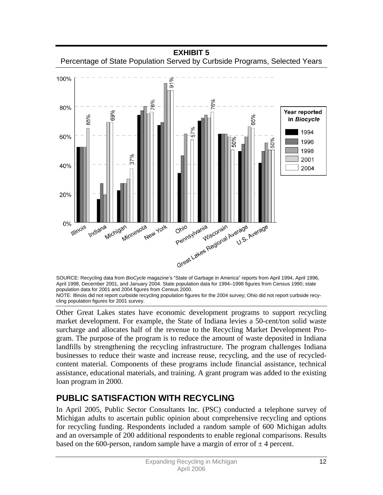

SOURCE: Recycling data from *BioCycle* magazine's "State of Garbage in America" reports from April 1994, April 1996, April 1998, December 2001, and January 2004. State population data for 1994–1998 figures from Census 1990; state population data for 2001 and 2004 figures from Census 2000. NOTE: Illinois did not report curbside recycling population figures for the 2004 survey; Ohio did not report curbside recy-

cling population figures for 2001 survey.

Other Great Lakes states have economic development programs to support recycling market development. For example, the State of Indiana levies a 50-cent/ton solid waste surcharge and allocates half of the revenue to the Recycling Market Development Program. The purpose of the program is to reduce the amount of waste deposited in Indiana landfills by strengthening the recycling infrastructure. The program challenges Indiana businesses to reduce their waste and increase reuse, recycling, and the use of recycledcontent material. Components of these programs include financial assistance, technical assistance, educational materials, and training. A grant program was added to the existing loan program in 2000.

# **PUBLIC SATISFACTION WITH RECYCLING**

In April 2005, Public Sector Consultants Inc. (PSC) conducted a telephone survey of Michigan adults to ascertain public opinion about comprehensive recycling and options for recycling funding. Respondents included a random sample of 600 Michigan adults and an oversample of 200 additional respondents to enable regional comparisons. Results based on the 600-person, random sample have a margin of error of  $\pm 4$  percent.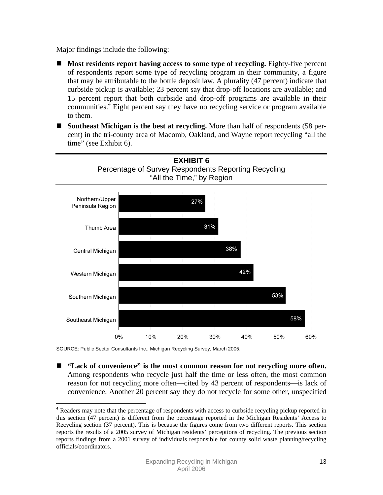Major findings include the following:

 $\overline{a}$ 

- **Most residents report having access to some type of recycling.** Eighty-five percent of respondents report some type of recycling program in their community, a figure that may be attributable to the bottle deposit law. A plurality (47 percent) indicate that curbside pickup is available; 23 percent say that drop-off locations are available; and 15 percent report that both curbside and drop-off programs are available in their communities.<sup>4</sup> Eight percent say they have no recycling service or program available to them.
- **Southeast Michigan is the best at recycling.** More than half of respondents (58 percent) in the tri-county area of Macomb, Oakland, and Wayne report recycling "all the time" (see Exhibit 6).



 **"Lack of convenience" is the most common reason for not recycling more often.** Among respondents who recycle just half the time or less often, the most common reason for not recycling more often—cited by 43 percent of respondents—is lack of convenience. Another 20 percent say they do not recycle for some other, unspecified

<sup>&</sup>lt;sup>4</sup> Readers may note that the percentage of respondents with access to curbside recycling pickup reported in this section (47 percent) is different from the percentage reported in the Michigan Residents' Access to Recycling section (37 percent). This is because the figures come from two different reports. This section reports the results of a 2005 survey of Michigan residents' perceptions of recycling. The previous section reports findings from a 2001 survey of individuals responsible for county solid waste planning/recycling officials/coordinators.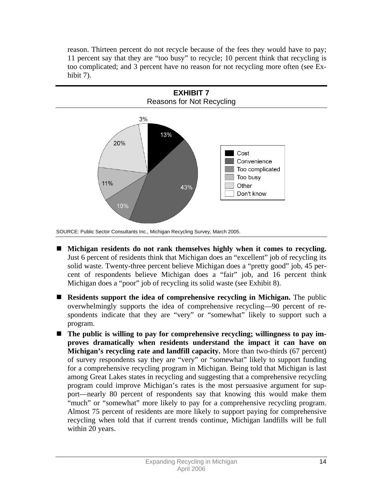reason. Thirteen percent do not recycle because of the fees they would have to pay; 11 percent say that they are "too busy" to recycle; 10 percent think that recycling is too complicated; and 3 percent have no reason for not recycling more often (see Exhibit 7).



SOURCE: Public Sector Consultants Inc., Michigan Recycling Survey, March 2005.

- **Michigan residents do not rank themselves highly when it comes to recycling.**  Just 6 percent of residents think that Michigan does an "excellent" job of recycling its solid waste. Twenty-three percent believe Michigan does a "pretty good" job, 45 percent of respondents believe Michigan does a "fair" job, and 16 percent think Michigan does a "poor" job of recycling its solid waste (see Exhibit 8).
- **Residents support the idea of comprehensive recycling in Michigan.** The public overwhelmingly supports the idea of comprehensive recycling—90 percent of respondents indicate that they are "very" or "somewhat" likely to support such a program.
- The public is willing to pay for comprehensive recycling; willingness to pay im**proves dramatically when residents understand the impact it can have on Michigan's recycling rate and landfill capacity.** More than two-thirds (67 percent) of survey respondents say they are "very" or "somewhat" likely to support funding for a comprehensive recycling program in Michigan. Being told that Michigan is last among Great Lakes states in recycling and suggesting that a comprehensive recycling program could improve Michigan's rates is the most persuasive argument for support—nearly 80 percent of respondents say that knowing this would make them "much" or "somewhat" more likely to pay for a comprehensive recycling program. Almost 75 percent of residents are more likely to support paying for comprehensive recycling when told that if current trends continue, Michigan landfills will be full within 20 years.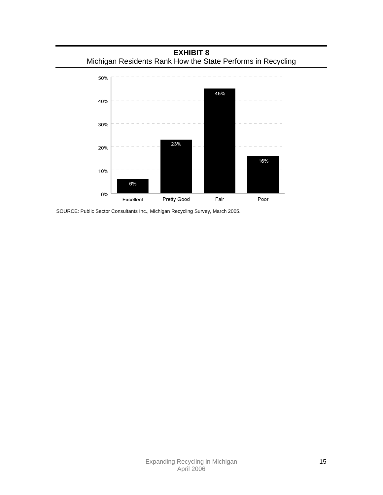**EXHIBIT 8**  Michigan Residents Rank How the State Performs in Recycling



SOURCE: Public Sector Consultants Inc., Michigan Recycling Survey, March 2005.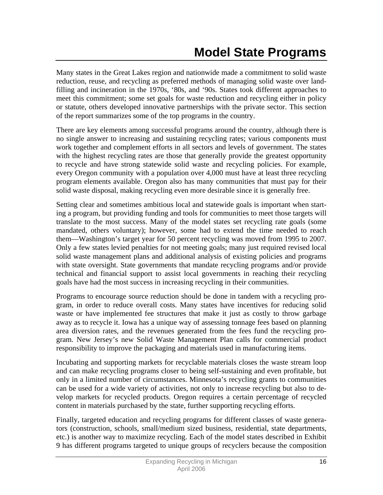Many states in the Great Lakes region and nationwide made a commitment to solid waste reduction, reuse, and recycling as preferred methods of managing solid waste over landfilling and incineration in the 1970s, '80s, and '90s. States took different approaches to meet this commitment; some set goals for waste reduction and recycling either in policy or statute, others developed innovative partnerships with the private sector. This section of the report summarizes some of the top programs in the country.

There are key elements among successful programs around the country, although there is no single answer to increasing and sustaining recycling rates; various components must work together and complement efforts in all sectors and levels of government. The states with the highest recycling rates are those that generally provide the greatest opportunity to recycle and have strong statewide solid waste and recycling policies. For example, every Oregon community with a population over 4,000 must have at least three recycling program elements available. Oregon also has many communities that must pay for their solid waste disposal, making recycling even more desirable since it is generally free.

Setting clear and sometimes ambitious local and statewide goals is important when starting a program, but providing funding and tools for communities to meet those targets will translate to the most success. Many of the model states set recycling rate goals (some mandated, others voluntary); however, some had to extend the time needed to reach them—Washington's target year for 50 percent recycling was moved from 1995 to 2007. Only a few states levied penalties for not meeting goals; many just required revised local solid waste management plans and additional analysis of existing policies and programs with state oversight. State governments that mandate recycling programs and/or provide technical and financial support to assist local governments in reaching their recycling goals have had the most success in increasing recycling in their communities.

Programs to encourage source reduction should be done in tandem with a recycling program, in order to reduce overall costs. Many states have incentives for reducing solid waste or have implemented fee structures that make it just as costly to throw garbage away as to recycle it. Iowa has a unique way of assessing tonnage fees based on planning area diversion rates, and the revenues generated from the fees fund the recycling program. New Jersey's new Solid Waste Management Plan calls for commercial product responsibility to improve the packaging and materials used in manufacturing items.

Incubating and supporting markets for recyclable materials closes the waste stream loop and can make recycling programs closer to being self-sustaining and even profitable, but only in a limited number of circumstances. Minnesota's recycling grants to communities can be used for a wide variety of activities, not only to increase recycling but also to develop markets for recycled products. Oregon requires a certain percentage of recycled content in materials purchased by the state, further supporting recycling efforts.

Finally, targeted education and recycling programs for different classes of waste generators (construction, schools, small/medium sized business, residential, state departments, etc.) is another way to maximize recycling. Each of the model states described in Exhibit 9 has different programs targeted to unique groups of recyclers because the composition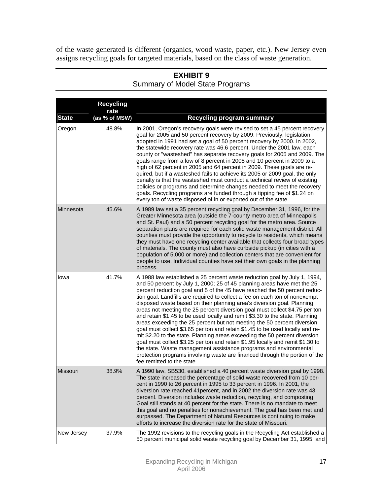of the waste generated is different (organics, wood waste, paper, etc.). New Jersey even assigns recycling goals for targeted materials, based on the class of waste generation.

|              | <b>Recycling</b><br>rate |                                                                                                                                                                                                                                                                                                                                                                                                                                                                                                                                                                                                                                                                                                                                                                                                                                                                                                                                                                                                                                                                         |
|--------------|--------------------------|-------------------------------------------------------------------------------------------------------------------------------------------------------------------------------------------------------------------------------------------------------------------------------------------------------------------------------------------------------------------------------------------------------------------------------------------------------------------------------------------------------------------------------------------------------------------------------------------------------------------------------------------------------------------------------------------------------------------------------------------------------------------------------------------------------------------------------------------------------------------------------------------------------------------------------------------------------------------------------------------------------------------------------------------------------------------------|
| <b>State</b> | (as % of MSW)            | <b>Recycling program summary</b>                                                                                                                                                                                                                                                                                                                                                                                                                                                                                                                                                                                                                                                                                                                                                                                                                                                                                                                                                                                                                                        |
| Oregon       | 48.8%                    | In 2001, Oregon's recovery goals were revised to set a 45 percent recovery<br>goal for 2005 and 50 percent recovery by 2009. Previously, legislation<br>adopted in 1991 had set a goal of 50 percent recovery by 2000. In 2002,<br>the statewide recovery rate was 46.6 percent. Under the 2001 law, each<br>county or "wasteshed" has separate recovery goals for 2005 and 2009. The<br>goals range from a low of 8 percent in 2005 and 10 percent in 2009 to a<br>high of 62 percent in 2005 and 64 percent in 2009. These goals are re-<br>quired, but if a wasteshed fails to achieve its 2005 or 2009 goal, the only<br>penalty is that the wasteshed must conduct a technical review of existing<br>policies or programs and determine changes needed to meet the recovery<br>goals. Recycling programs are funded through a tipping fee of \$1.24 on<br>every ton of waste disposed of in or exported out of the state.                                                                                                                                          |
| Minnesota    | 45.6%                    | A 1989 law set a 35 percent recycling goal by December 31, 1996, for the<br>Greater Minnesota area (outside the 7-county metro area of Minneapolis<br>and St. Paul) and a 50 percent recycling goal for the metro area. Source<br>separation plans are required for each solid waste management district. All<br>counties must provide the opportunity to recycle to residents, which means<br>they must have one recycling center available that collects four broad types<br>of materials. The county must also have curbside pickup (in cities with a<br>population of 5,000 or more) and collection centers that are convenient for<br>people to use. Individual counties have set their own goals in the planning<br>process.                                                                                                                                                                                                                                                                                                                                      |
| Iowa         | 41.7%                    | A 1988 law established a 25 percent waste reduction goal by July 1, 1994,<br>and 50 percent by July 1, 2000; 25 of 45 planning areas have met the 25<br>percent reduction goal and 5 of the 45 have reached the 50 percent reduc-<br>tion goal. Landfills are required to collect a fee on each ton of nonexempt<br>disposed waste based on their planning area's diversion goal. Planning<br>areas not meeting the 25 percent diversion goal must collect \$4.75 per ton<br>and retain \$1.45 to be used locally and remit \$3.30 to the state. Planning<br>areas exceeding the 25 percent but not meeting the 50 percent diversion<br>goal must collect \$3.65 per ton and retain \$1.45 to be used locally and re-<br>mit \$2.20 to the state. Planning areas exceeding the 50 percent diversion<br>goal must collect \$3.25 per ton and retain \$1.95 locally and remit \$1.30 to<br>the state. Waste management assistance programs and environmental<br>protection programs involving waste are financed through the portion of the<br>fee remitted to the state. |
| Missouri     | 38.9%                    | A 1990 law, SB530, established a 40 percent waste diversion goal by 1998.<br>The state increased the percentage of solid waste recovered from 10 per-<br>cent in 1990 to 26 percent in 1995 to 33 percent in 1996. In 2001, the<br>diversion rate reached 41 percent, and in 2002 the diversion rate was 43<br>percent. Diversion includes waste reduction, recycling, and composting.<br>Goal still stands at 40 percent for the state. There is no mandate to meet<br>this goal and no penalties for nonachievement. The goal has been met and<br>surpassed. The Department of Natural Resources is continuing to make<br>efforts to increase the diversion rate for the state of Missouri.                                                                                                                                                                                                                                                                                                                                                                           |
| New Jersey   | 37.9%                    | The 1992 revisions to the recycling goals in the Recycling Act established a<br>50 percent municipal solid waste recycling goal by December 31, 1995, and                                                                                                                                                                                                                                                                                                                                                                                                                                                                                                                                                                                                                                                                                                                                                                                                                                                                                                               |

#### **EXHIBIT 9**  Summary of Model State Programs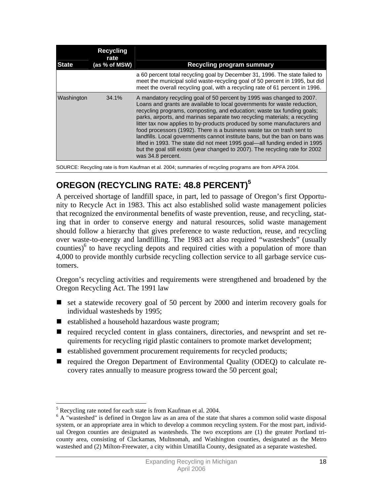| <b>State</b> | <b>Recycling</b><br>rate<br>(as % of MSW) | <b>Recycling program summary</b>                                                                                                                                                                                                                                                                                                                                                                                                                                                                                                                                                                                                                                                                                                    |
|--------------|-------------------------------------------|-------------------------------------------------------------------------------------------------------------------------------------------------------------------------------------------------------------------------------------------------------------------------------------------------------------------------------------------------------------------------------------------------------------------------------------------------------------------------------------------------------------------------------------------------------------------------------------------------------------------------------------------------------------------------------------------------------------------------------------|
|              |                                           | a 60 percent total recycling goal by December 31, 1996. The state failed to<br>meet the municipal solid waste-recycling goal of 50 percent in 1995, but did<br>meet the overall recycling goal, with a recycling rate of 61 percent in 1996.                                                                                                                                                                                                                                                                                                                                                                                                                                                                                        |
| Washington   | 34.1%                                     | A mandatory recycling goal of 50 percent by 1995 was changed to 2007.<br>Loans and grants are available to local governments for waste reduction,<br>recycling programs, composting, and education; waste tax funding goals;<br>parks, airports, and marinas separate two recycling materials; a recycling<br>litter tax now applies to by-products produced by some manufacturers and<br>food processors (1992). There is a business waste tax on trash sent to<br>landfills. Local governments cannot institute bans, but the ban on bans was<br>lifted in 1993. The state did not meet 1995 goal—all funding ended in 1995<br>but the goal still exists (year changed to 2007). The recycling rate for 2002<br>was 34.8 percent. |

SOURCE: Recycling rate is from Kaufman et al. 2004; summaries of recycling programs are from APFA 2004.

# **OREGON (RECYCLING RATE: 48.8 PERCENT)<sup>5</sup>**

A perceived shortage of landfill space, in part, led to passage of Oregon's first Opportunity to Recycle Act in 1983. This act also established solid waste management policies that recognized the environmental benefits of waste prevention, reuse, and recycling, stating that in order to conserve energy and natural resources, solid waste management should follow a hierarchy that gives preference to waste reduction, reuse, and recycling over waste-to-energy and landfilling. The 1983 act also required "wastesheds" (usually counties)<sup>6</sup> to have recycling depots and required cities with a population of more than 4,000 to provide monthly curbside recycling collection service to all garbage service customers.

Oregon's recycling activities and requirements were strengthened and broadened by the Oregon Recycling Act. The 1991 law

- $\blacksquare$  set a statewide recovery goal of 50 percent by 2000 and interim recovery goals for individual wastesheds by 1995;
- established a household hazardous waste program;
- required recycled content in glass containers, directories, and newsprint and set requirements for recycling rigid plastic containers to promote market development;
- established government procurement requirements for recycled products;
- required the Oregon Department of Environmental Quality (ODEQ) to calculate recovery rates annually to measure progress toward the 50 percent goal;

 $\overline{a}$ Executing rate noted for each state is from Kaufman et al. 2004.

<sup>&</sup>lt;sup>6</sup> A "wasteshed" is defined in Oregon law as an area of the state that shares a common solid waste disposal system, or an appropriate area in which to develop a common recycling system. For the most part, individual Oregon counties are designated as wastesheds. The two exceptions are (1) the greater Portland tricounty area, consisting of Clackamas, Multnomah, and Washington counties, designated as the Metro wasteshed and (2) Milton-Freewater, a city within Umatilla County, designated as a separate wasteshed.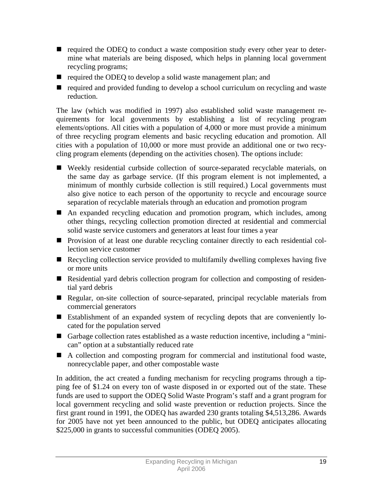- $\blacksquare$  required the ODEQ to conduct a waste composition study every other year to determine what materials are being disposed, which helps in planning local government recycling programs;
- required the ODEQ to develop a solid waste management plan; and
- required and provided funding to develop a school curriculum on recycling and waste reduction.

The law (which was modified in 1997) also established solid waste management requirements for local governments by establishing a list of recycling program elements/options. All cities with a population of 4,000 or more must provide a minimum of three recycling program elements and basic recycling education and promotion. All cities with a population of 10,000 or more must provide an additional one or two recycling program elements (depending on the activities chosen). The options include:

- Weekly residential curbside collection of source-separated recyclable materials, on the same day as garbage service. (If this program element is not implemented, a minimum of monthly curbside collection is still required.) Local governments must also give notice to each person of the opportunity to recycle and encourage source separation of recyclable materials through an education and promotion program
- An expanded recycling education and promotion program, which includes, among other things, recycling collection promotion directed at residential and commercial solid waste service customers and generators at least four times a year
- **Provision of at least one durable recycling container directly to each residential col**lection service customer
- Recycling collection service provided to multifamily dwelling complexes having five or more units
- Residential yard debris collection program for collection and composting of residential yard debris
- Regular, on-site collection of source-separated, principal recyclable materials from commercial generators
- Establishment of an expanded system of recycling depots that are conveniently located for the population served
- Garbage collection rates established as a waste reduction incentive, including a "minican" option at a substantially reduced rate
- A collection and composting program for commercial and institutional food waste, nonrecyclable paper, and other compostable waste

In addition, the act created a funding mechanism for recycling programs through a tipping fee of \$1.24 on every ton of waste disposed in or exported out of the state. These funds are used to support the ODEQ Solid Waste Program's staff and a grant program for local government recycling and solid waste prevention or reduction projects. Since the first grant round in 1991, the ODEQ has awarded 230 grants totaling \$4,513,286. Awards for 2005 have not yet been announced to the public, but ODEQ anticipates allocating \$225,000 in grants to successful communities (ODEQ 2005).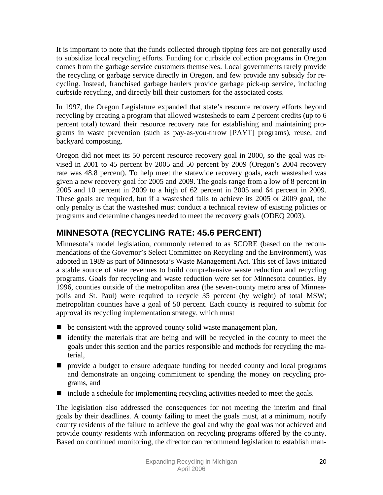It is important to note that the funds collected through tipping fees are not generally used to subsidize local recycling efforts. Funding for curbside collection programs in Oregon comes from the garbage service customers themselves. Local governments rarely provide the recycling or garbage service directly in Oregon, and few provide any subsidy for recycling. Instead, franchised garbage haulers provide garbage pick-up service, including curbside recycling, and directly bill their customers for the associated costs.

In 1997, the Oregon Legislature expanded that state's resource recovery efforts beyond recycling by creating a program that allowed wastesheds to earn 2 percent credits (up to 6 percent total) toward their resource recovery rate for establishing and maintaining programs in waste prevention (such as pay-as-you-throw [PAYT] programs), reuse, and backyard composting.

Oregon did not meet its 50 percent resource recovery goal in 2000, so the goal was revised in 2001 to 45 percent by 2005 and 50 percent by 2009 (Oregon's 2004 recovery rate was 48.8 percent). To help meet the statewide recovery goals, each wasteshed was given a new recovery goal for 2005 and 2009. The goals range from a low of 8 percent in 2005 and 10 percent in 2009 to a high of 62 percent in 2005 and 64 percent in 2009. These goals are required, but if a wasteshed fails to achieve its 2005 or 2009 goal, the only penalty is that the wasteshed must conduct a technical review of existing policies or programs and determine changes needed to meet the recovery goals (ODEQ 2003).

# **MINNESOTA (RECYCLING RATE: 45.6 PERCENT)**

Minnesota's model legislation, commonly referred to as SCORE (based on the recommendations of the Governor's Select Committee on Recycling and the Environment), was adopted in 1989 as part of Minnesota's Waste Management Act. This set of laws initiated a stable source of state revenues to build comprehensive waste reduction and recycling programs. Goals for recycling and waste reduction were set for Minnesota counties. By 1996, counties outside of the metropolitan area (the seven-county metro area of Minneapolis and St. Paul) were required to recycle 35 percent (by weight) of total MSW; metropolitan counties have a goal of 50 percent. Each county is required to submit for approval its recycling implementation strategy, which must

- $\blacksquare$  be consistent with the approved county solid waste management plan,
- $\blacksquare$  identify the materials that are being and will be recycled in the county to meet the goals under this section and the parties responsible and methods for recycling the material,
- $\blacksquare$  provide a budget to ensure adequate funding for needed county and local programs and demonstrate an ongoing commitment to spending the money on recycling programs, and
- include a schedule for implementing recycling activities needed to meet the goals.

The legislation also addressed the consequences for not meeting the interim and final goals by their deadlines. A county failing to meet the goals must, at a minimum, notify county residents of the failure to achieve the goal and why the goal was not achieved and provide county residents with information on recycling programs offered by the county. Based on continued monitoring, the director can recommend legislation to establish man-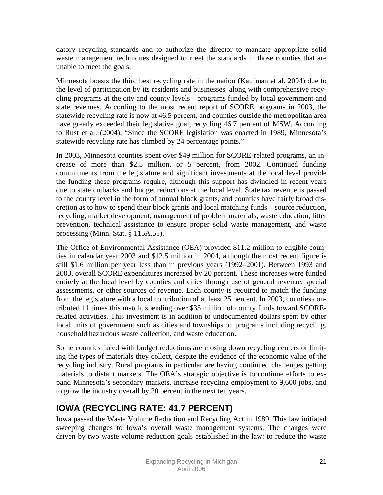datory recycling standards and to authorize the director to mandate appropriate solid waste management techniques designed to meet the standards in those counties that are unable to meet the goals.

Minnesota boasts the third best recycling rate in the nation (Kaufman et al. 2004) due to the level of participation by its residents and businesses, along with comprehensive recycling programs at the city and county levels—programs funded by local government and state revenues. According to the most recent report of SCORE programs in 2003, the statewide recycling rate is now at 46.5 percent, and counties outside the metropolitan area have greatly exceeded their legislative goal, recycling 46.7 percent of MSW. According to Rust et al. (2004), "Since the SCORE legislation was enacted in 1989, Minnesota's statewide recycling rate has climbed by 24 percentage points."

In 2003, Minnesota counties spent over \$49 million for SCORE-related programs, an increase of more than \$2.5 million, or 5 percent, from 2002. Continued funding commitments from the legislature and significant investments at the local level provide the funding these programs require, although this support has dwindled in recent years due to state cutbacks and budget reductions at the local level. State tax revenue is passed to the county level in the form of annual block grants, and counties have fairly broad discretion as to how to spend their block grants and local matching funds—source reduction, recycling, market development, management of problem materials, waste education, litter prevention, technical assistance to ensure proper solid waste management, and waste processing (Minn. Stat. § 115A.55).

The Office of Environmental Assistance (OEA) provided \$11.2 million to eligible counties in calendar year 2003 and \$12.5 million in 2004, although the most recent figure is still \$1.6 million per year less than in previous years (1992–2001). Between 1993 and 2003, overall SCORE expenditures increased by 20 percent. These increases were funded entirely at the local level by counties and cities through use of general revenue, special assessments, or other sources of revenue. Each county is required to match the funding from the legislature with a local contribution of at least 25 percent. In 2003, counties contributed 11 times this match, spending over \$35 million of county funds toward SCORErelated activities. This investment is in addition to undocumented dollars spent by other local units of government such as cities and townships on programs including recycling, household hazardous waste collection, and waste education.

Some counties faced with budget reductions are closing down recycling centers or limiting the types of materials they collect, despite the evidence of the economic value of the recycling industry. Rural programs in particular are having continued challenges getting materials to distant markets. The OEA's strategic objective is to continue efforts to expand Minnesota's secondary markets, increase recycling employment to 9,600 jobs, and to grow the industry overall by 20 percent in the next ten years.

# **IOWA (RECYCLING RATE: 41.7 PERCENT)**

Iowa passed the Waste Volume Reduction and Recycling Act in 1989. This law initiated sweeping changes to Iowa's overall waste management systems. The changes were driven by two waste volume reduction goals established in the law: to reduce the waste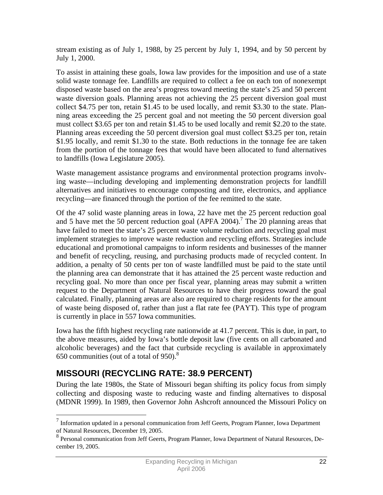stream existing as of July 1, 1988, by 25 percent by July 1, 1994, and by 50 percent by July 1, 2000.

To assist in attaining these goals, Iowa law provides for the imposition and use of a state solid waste tonnage fee. Landfills are required to collect a fee on each ton of nonexempt disposed waste based on the area's progress toward meeting the state's 25 and 50 percent waste diversion goals. Planning areas not achieving the 25 percent diversion goal must collect \$4.75 per ton, retain \$1.45 to be used locally, and remit \$3.30 to the state. Planning areas exceeding the 25 percent goal and not meeting the 50 percent diversion goal must collect \$3.65 per ton and retain \$1.45 to be used locally and remit \$2.20 to the state. Planning areas exceeding the 50 percent diversion goal must collect \$3.25 per ton, retain \$1.95 locally, and remit \$1.30 to the state. Both reductions in the tonnage fee are taken from the portion of the tonnage fees that would have been allocated to fund alternatives to landfills (Iowa Legislature 2005).

Waste management assistance programs and environmental protection programs involving waste—including developing and implementing demonstration projects for landfill alternatives and initiatives to encourage composting and tire, electronics, and appliance recycling—are financed through the portion of the fee remitted to the state.

Of the 47 solid waste planning areas in Iowa, 22 have met the 25 percent reduction goal and 5 have met the 50 percent reduction goal (APFA 2004).<sup>7</sup> The 20 planning areas that have failed to meet the state's 25 percent waste volume reduction and recycling goal must implement strategies to improve waste reduction and recycling efforts. Strategies include educational and promotional campaigns to inform residents and businesses of the manner and benefit of recycling, reusing, and purchasing products made of recycled content. In addition, a penalty of 50 cents per ton of waste landfilled must be paid to the state until the planning area can demonstrate that it has attained the 25 percent waste reduction and recycling goal. No more than once per fiscal year, planning areas may submit a written request to the Department of Natural Resources to have their progress toward the goal calculated. Finally, planning areas are also are required to charge residents for the amount of waste being disposed of, rather than just a flat rate fee (PAYT). This type of program is currently in place in 557 Iowa communities.

Iowa has the fifth highest recycling rate nationwide at 41.7 percent. This is due, in part, to the above measures, aided by Iowa's bottle deposit law (five cents on all carbonated and alcoholic beverages) and the fact that curbside recycling is available in approximately 650 communities (out of a total of  $950$ ).<sup>8</sup>

# **MISSOURI (RECYCLING RATE: 38.9 PERCENT)**

 $\overline{a}$ 

During the late 1980s, the State of Missouri began shifting its policy focus from simply collecting and disposing waste to reducing waste and finding alternatives to disposal (MDNR 1999). In 1989, then Governor John Ashcroft announced the Missouri Policy on

 $<sup>7</sup>$  Information updated in a personal communication from Jeff Geerts, Program Planner, Iowa Department</sup> of Natural Resources, December 19, 2005.

<sup>&</sup>lt;sup>8</sup> Personal communication from Jeff Geerts, Program Planner, Iowa Department of Natural Resources, December 19, 2005.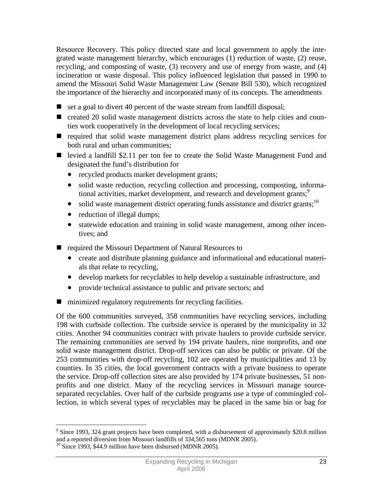Resource Recovery. This policy directed state and local government to apply the integrated waste management hierarchy, which encourages (1) reduction of waste, (2) reuse, recycling, and composting of waste, (3) recovery and use of energy from waste, and (4) incineration or waste disposal. This policy influenced legislation that passed in 1990 to amend the Missouri Solid Waste Management Law (Senate Bill 530), which recognized the importance of the hierarchy and incorporated many of its concepts. The amendments

- $\blacksquare$  set a goal to divert 40 percent of the waste stream from landfill disposal;
- created 20 solid waste management districts across the state to help cities and counties work cooperatively in the development of local recycling services;
- required that solid waste management district plans address recycling services for both rural and urban communities;
- levied a landfill \$2.11 per ton fee to create the Solid Waste Management Fund and designated the fund's distribution for
	- recycled products market development grants;
	- solid waste reduction, recycling collection and processing, composting, informational activities, market development, and research and development grants;<sup>9</sup>
	- solid waste management district operating funds assistance and district grants;<sup>10</sup>
	- reduction of illegal dumps;
	- statewide education and training in solid waste management, among other incentives; and
- required the Missouri Department of Natural Resources to
	- create and distribute planning guidance and informational and educational materials that relate to recycling,
	- develop markets for recyclables to help develop a sustainable infrastructure, and
	- provide technical assistance to public and private sectors; and
- minimized regulatory requirements for recycling facilities.

Of the 600 communities surveyed, 358 communities have recycling services, including 198 with curbside collection. The curbside service is operated by the municipality in 32 cities. Another 94 communities contract with private haulers to provide curbside service. The remaining communities are served by 194 private haulers, nine nonprofits, and one solid waste management district. Drop-off services can also be public or private. Of the 253 communities with drop-off recycling, 102 are operated by municipalities and 13 by counties. In 35 cities, the local government contracts with a private business to operate the service. Drop-off collection sites are also provided by 174 private businesses, 51 nonprofits and one district. Many of the recycling services in Missouri manage sourceseparated recyclables. Over half of the curbside programs use a type of commingled collection, in which several types of recyclables may be placed in the same bin or bag for

 $\overline{a}$ 

<sup>&</sup>lt;sup>9</sup> Since 1993, 324 grant projects have been completed, with a disbursement of approximately \$20.8 million and a reported diversion from Missouri landfills of 334,565 tons (MDNR 2005).

 $10$  Since 1993, \$44.9 million have been disbursed (MDNR 2005).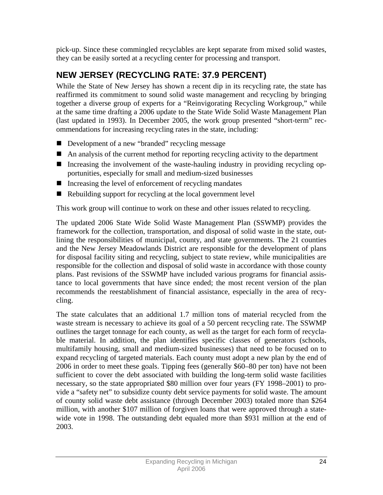pick-up. Since these commingled recyclables are kept separate from mixed solid wastes, they can be easily sorted at a recycling center for processing and transport.

# **NEW JERSEY (RECYCLING RATE: 37.9 PERCENT)**

While the State of New Jersey has shown a recent dip in its recycling rate, the state has reaffirmed its commitment to sound solid waste management and recycling by bringing together a diverse group of experts for a "Reinvigorating Recycling Workgroup," while at the same time drafting a 2006 update to the State Wide Solid Waste Management Plan (last updated in 1993). In December 2005, the work group presented "short-term" recommendations for increasing recycling rates in the state, including:

- Development of a new "branded" recycling message
- An analysis of the current method for reporting recycling activity to the department
- Increasing the involvement of the waste-hauling industry in providing recycling opportunities, especially for small and medium-sized businesses
- $\blacksquare$  Increasing the level of enforcement of recycling mandates
- Rebuilding support for recycling at the local government level

This work group will continue to work on these and other issues related to recycling.

The updated 2006 State Wide Solid Waste Management Plan (SSWMP) provides the framework for the collection, transportation, and disposal of solid waste in the state, outlining the responsibilities of municipal, county, and state governments. The 21 counties and the New Jersey Meadowlands District are responsible for the development of plans for disposal facility siting and recycling, subject to state review, while municipalities are responsible for the collection and disposal of solid waste in accordance with those county plans. Past revisions of the SSWMP have included various programs for financial assistance to local governments that have since ended; the most recent version of the plan recommends the reestablishment of financial assistance, especially in the area of recycling.

The state calculates that an additional 1.7 million tons of material recycled from the waste stream is necessary to achieve its goal of a 50 percent recycling rate. The SSWMP outlines the target tonnage for each county, as well as the target for each form of recyclable material. In addition, the plan identifies specific classes of generators (schools, multifamily housing, small and medium-sized businesses) that need to be focused on to expand recycling of targeted materials. Each county must adopt a new plan by the end of 2006 in order to meet these goals. Tipping fees (generally \$60–80 per ton) have not been sufficient to cover the debt associated with building the long-term solid waste facilities necessary, so the state appropriated \$80 million over four years (FY 1998–2001) to provide a "safety net" to subsidize county debt service payments for solid waste. The amount of county solid waste debt assistance (through December 2003) totaled more than \$264 million, with another \$107 million of forgiven loans that were approved through a statewide vote in 1998. The outstanding debt equaled more than \$931 million at the end of 2003.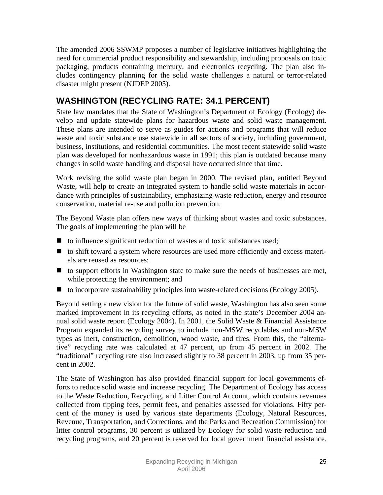The amended 2006 SSWMP proposes a number of legislative initiatives highlighting the need for commercial product responsibility and stewardship, including proposals on toxic packaging, products containing mercury, and electronics recycling. The plan also includes contingency planning for the solid waste challenges a natural or terror-related disaster might present (NJDEP 2005).

# **WASHINGTON (RECYCLING RATE: 34.1 PERCENT)**

State law mandates that the State of Washington's Department of Ecology (Ecology) develop and update statewide plans for hazardous waste and solid waste management. These plans are intended to serve as guides for actions and programs that will reduce waste and toxic substance use statewide in all sectors of society, including government, business, institutions, and residential communities. The most recent statewide solid waste plan was developed for nonhazardous waste in 1991; this plan is outdated because many changes in solid waste handling and disposal have occurred since that time.

Work revising the solid waste plan began in 2000. The revised plan, entitled Beyond Waste, will help to create an integrated system to handle solid waste materials in accordance with principles of sustainability, emphasizing waste reduction, energy and resource conservation, material re-use and pollution prevention.

The Beyond Waste plan offers new ways of thinking about wastes and toxic substances. The goals of implementing the plan will be

- $\blacksquare$  to influence significant reduction of wastes and toxic substances used;
- to shift toward a system where resources are used more efficiently and excess materials are reused as resources;
- $\blacksquare$  to support efforts in Washington state to make sure the needs of businesses are met, while protecting the environment; and
- to incorporate sustainability principles into waste-related decisions (Ecology 2005).

Beyond setting a new vision for the future of solid waste, Washington has also seen some marked improvement in its recycling efforts, as noted in the state's December 2004 annual solid waste report (Ecology 2004). In 2001, the Solid Waste & Financial Assistance Program expanded its recycling survey to include non-MSW recyclables and non-MSW types as inert, construction, demolition, wood waste, and tires. From this, the "alternative" recycling rate was calculated at 47 percent, up from 45 percent in 2002. The "traditional" recycling rate also increased slightly to 38 percent in 2003, up from 35 percent in 2002.

The State of Washington has also provided financial support for local governments efforts to reduce solid waste and increase recycling. The Department of Ecology has access to the Waste Reduction, Recycling, and Litter Control Account, which contains revenues collected from tipping fees, permit fees, and penalties assessed for violations. Fifty percent of the money is used by various state departments (Ecology, Natural Resources, Revenue, Transportation, and Corrections, and the Parks and Recreation Commission) for litter control programs, 30 percent is utilized by Ecology for solid waste reduction and recycling programs, and 20 percent is reserved for local government financial assistance.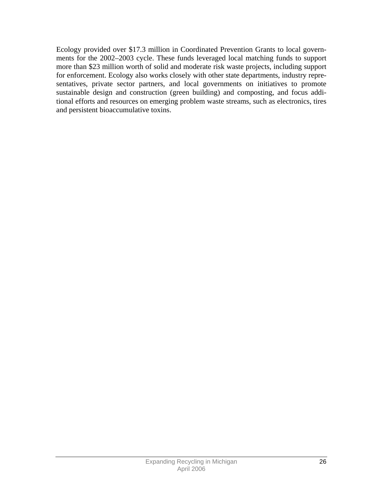Ecology provided over \$17.3 million in Coordinated Prevention Grants to local governments for the 2002–2003 cycle. These funds leveraged local matching funds to support more than \$23 million worth of solid and moderate risk waste projects, including support for enforcement. Ecology also works closely with other state departments, industry representatives, private sector partners, and local governments on initiatives to promote sustainable design and construction (green building) and composting, and focus additional efforts and resources on emerging problem waste streams, such as electronics, tires and persistent bioaccumulative toxins.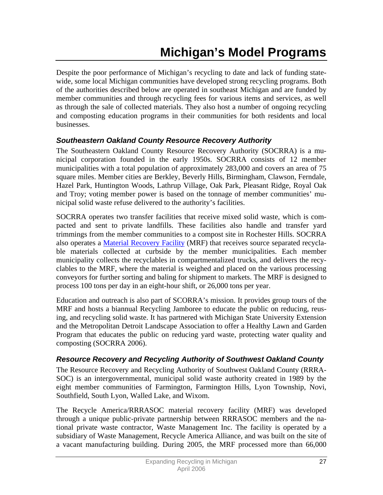Despite the poor performance of Michigan's recycling to date and lack of funding statewide, some local Michigan communities have developed strong recycling programs. Both of the authorities described below are operated in southeast Michigan and are funded by member communities and through recycling fees for various items and services, as well as through the sale of collected materials. They also host a number of ongoing recycling and composting education programs in their communities for both residents and local businesses.

### *Southeastern Oakland County Resource Recovery Authority*

The Southeastern Oakland County Resource Recovery Authority (SOCRRA) is a municipal corporation founded in the early 1950s. SOCRRA consists of 12 member municipalities with a total population of approximately 283,000 and covers an area of 75 square miles. Member cities are Berkley, Beverly Hills, Birmingham, Clawson, Ferndale, Hazel Park, Huntington Woods, Lathrup Village, Oak Park, Pleasant Ridge, Royal Oak and Troy; voting member power is based on the tonnage of member communities' municipal solid waste refuse delivered to the authority's facilities.

SOCRRA operates two transfer facilities that receive mixed solid waste, which is compacted and sent to private landfills. These facilities also handle and transfer yard trimmings from the member communities to a compost site in Rochester Hills. SOCRRA also operates a Material Recovery Facility (MRF) that receives source separated recyclable materials collected at curbside by the member municipalities. Each member municipality collects the recyclables in compartmentalized trucks, and delivers the recyclables to the MRF, where the material is weighed and placed on the various processing conveyors for further sorting and baling for shipment to markets. The MRF is designed to process 100 tons per day in an eight-hour shift, or 26,000 tons per year.

Education and outreach is also part of SCORRA's mission. It provides group tours of the MRF and hosts a biannual Recycling Jamboree to educate the public on reducing, reusing, and recycling solid waste. It has partnered with Michigan State University Extension and the Metropolitan Detroit Landscape Association to offer a Healthy Lawn and Garden Program that educates the public on reducing yard waste, protecting water quality and composting (SOCRRA 2006).

#### *Resource Recovery and Recycling Authority of Southwest Oakland County*

The Resource Recovery and Recycling Authority of Southwest Oakland County (RRRA-SOC) is an intergovernmental, municipal solid waste authority created in 1989 by the eight member communities of Farmington, Farmington Hills, Lyon Township, Novi, Southfield, South Lyon, Walled Lake, and Wixom.

The Recycle America/RRRASOC material recovery facility (MRF) was developed through a unique public-private partnership between RRRASOC members and the national private waste contractor, Waste Management Inc. The facility is operated by a subsidiary of Waste Management, Recycle America Alliance, and was built on the site of a vacant manufacturing building. During 2005, the MRF processed more than 66,000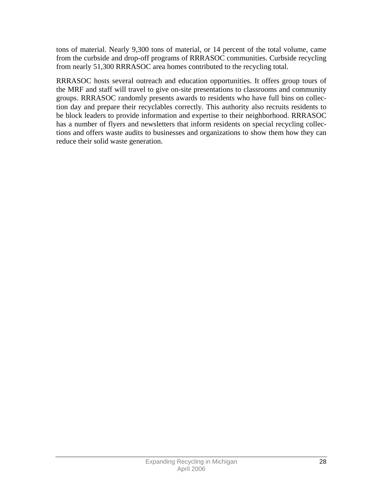tons of material. Nearly 9,300 tons of material, or 14 percent of the total volume, came from the curbside and drop-off programs of RRRASOC communities. Curbside recycling from nearly 51,300 RRRASOC area homes contributed to the recycling total.

RRRASOC hosts several outreach and education opportunities. It offers group tours of the MRF and staff will travel to give on-site presentations to classrooms and community groups. RRRASOC randomly presents awards to residents who have full bins on collection day and prepare their recyclables correctly. This authority also recruits residents to be block leaders to provide information and expertise to their neighborhood. RRRASOC has a number of flyers and newsletters that inform residents on special recycling collections and offers waste audits to businesses and organizations to show them how they can reduce their solid waste generation.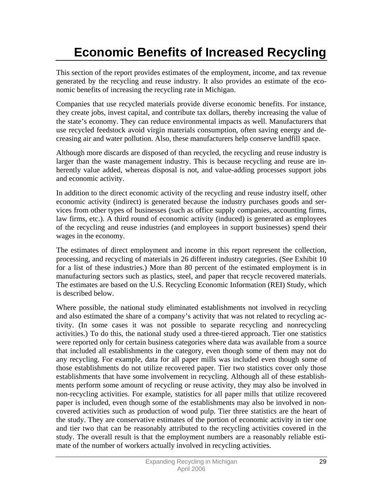# **Economic Benefits of Increased Recycling**

This section of the report provides estimates of the employment, income, and tax revenue generated by the recycling and reuse industry. It also provides an estimate of the economic benefits of increasing the recycling rate in Michigan.

Companies that use recycled materials provide diverse economic benefits. For instance, they create jobs, invest capital, and contribute tax dollars, thereby increasing the value of the state's economy. They can reduce environmental impacts as well. Manufacturers that use recycled feedstock avoid virgin materials consumption, often saving energy and decreasing air and water pollution. Also, these manufacturers help conserve landfill space.

Although more discards are disposed of than recycled, the recycling and reuse industry is larger than the waste management industry. This is because recycling and reuse are inherently value added, whereas disposal is not, and value-adding processes support jobs and economic activity.

In addition to the direct economic activity of the recycling and reuse industry itself, other economic activity (indirect) is generated because the industry purchases goods and services from other types of businesses (such as office supply companies, accounting firms, law firms, etc.). A third round of economic activity (induced) is generated as employees of the recycling and reuse industries (and employees in support businesses) spend their wages in the economy.

The estimates of direct employment and income in this report represent the collection, processing, and recycling of materials in 26 different industry categories. (See Exhibit 10 for a list of these industries.) More than 80 percent of the estimated employment is in manufacturing sectors such as plastics, steel, and paper that recycle recovered materials. The estimates are based on the U.S. Recycling Economic Information (REI) Study, which is described below.

Where possible, the national study eliminated establishments not involved in recycling and also estimated the share of a company's activity that was not related to recycling activity. (In some cases it was not possible to separate recycling and nonrecycling activities.) To do this, the national study used a three-tiered approach. Tier one statistics were reported only for certain business categories where data was available from a source that included all establishments in the category, even though some of them may not do any recycling. For example, data for all paper mills was included even though some of those establishments do not utilize recovered paper. Tier two statistics cover only those establishments that have some involvement in recycling. Although all of these establishments perform some amount of recycling or reuse activity, they may also be involved in non-recycling activities. For example, statistics for all paper mills that utilize recovered paper is included, even though some of the establishments may also be involved in noncovered activities such as production of wood pulp. Tier three statistics are the heart of the study. They are conservative estimates of the portion of economic activity in tier one and tier two that can be reasonably attributed to the recycling activities covered in the study. The overall result is that the employment numbers are a reasonably reliable estimate of the number of workers actually involved in recycling activities.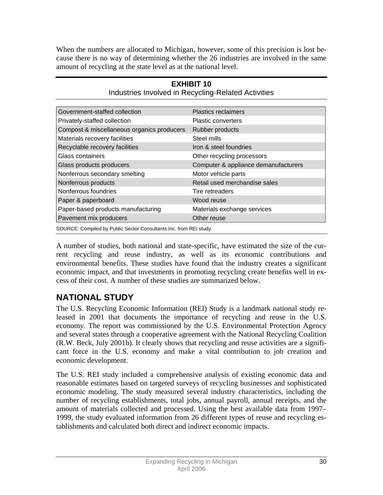When the numbers are allocated to Michigan, however, some of this precision is lost because there is no way of determining whether the 26 industries are involved in the same amount of recycling at the state level as at the national level.

| Government-staffed collection                                      | <b>Plastics reclaimers</b>           |
|--------------------------------------------------------------------|--------------------------------------|
| Privately-staffed collection                                       | Plastic converters                   |
| Compost & miscellaneous organics producers                         | Rubber products                      |
| Materials recovery facilities                                      | Steel mills                          |
| Recyclable recovery facilities                                     | Iron & steel foundries               |
| Glass containers                                                   | Other recycling processors           |
| Glass products producers                                           | Computer & appliance demanufacturers |
| Nonferrous secondary smelting                                      | Motor vehicle parts                  |
| Nonferrous products                                                | Retail used merchandise sales        |
| Nonferrous foundries                                               | Tire retreaders                      |
| Paper & paperboard                                                 | Wood reuse                           |
| Paper-based products manufacturing                                 | Materials exchange services          |
| Pavement mix producers                                             | Other reuse                          |
| SOURCE: Compiled by Public Sector Consultants Inc. from REI study. |                                      |

**EXHIBIT 10**  Industries Involved in Recycling-Related Activities

A number of studies, both national and state-specific, have estimated the size of the current recycling and reuse industry, as well as its economic contributions and environmental benefits. These studies have found that the industry creates a significant economic impact, and that investments in promoting recycling create benefits well in excess of their cost. A number of these studies are summarized below.

# **NATIONAL STUDY**

The U.S. Recycling Economic Information (REI) Study is a landmark national study released in 2001 that documents the importance of recycling and reuse in the U.S. economy. The report was commissioned by the U.S. Environmental Protection Agency and several states through a cooperative agreement with the National Recycling Coalition (R.W. Beck, July 2001b). It clearly shows that recycling and reuse activities are a significant force in the U.S. economy and make a vital contribution to job creation and economic development.

The U.S. REI study included a comprehensive analysis of existing economic data and reasonable estimates based on targeted surveys of recycling businesses and sophisticated economic modeling. The study measured several industry characteristics, including the number of recycling establishments, total jobs, annual payroll, annual receipts, and the amount of materials collected and processed. Using the best available data from 1997– 1999, the study evaluated information from 26 different types of reuse and recycling establishments and calculated both direct and indirect economic impacts.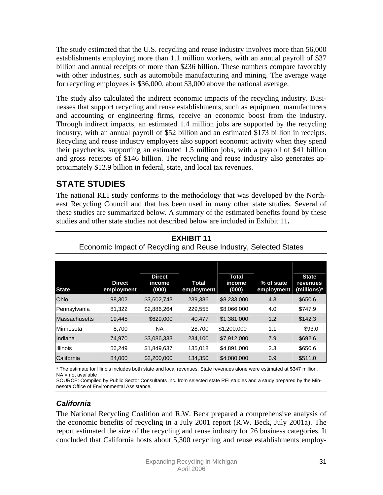The study estimated that the U.S. recycling and reuse industry involves more than 56,000 establishments employing more than 1.1 million workers, with an annual payroll of \$37 billion and annual receipts of more than \$236 billion. These numbers compare favorably with other industries, such as automobile manufacturing and mining. The average wage for recycling employees is \$36,000, about \$3,000 above the national average.

The study also calculated the indirect economic impacts of the recycling industry. Businesses that support recycling and reuse establishments, such as equipment manufacturers and accounting or engineering firms, receive an economic boost from the industry. Through indirect impacts, an estimated 1.4 million jobs are supported by the recycling industry, with an annual payroll of \$52 billion and an estimated \$173 billion in receipts. Recycling and reuse industry employees also support economic activity when they spend their paychecks, supporting an estimated 1.5 million jobs, with a payroll of \$41 billion and gross receipts of \$146 billion. The recycling and reuse industry also generates approximately \$12.9 billion in federal, state, and local tax revenues.

## **STATE STUDIES**

The national REI study conforms to the methodology that was developed by the Northeast Recycling Council and that has been used in many other state studies. Several of these studies are summarized below. A summary of the estimated benefits found by these studies and other state studies not described below are included in Exhibit 11**.** 

| <b>State</b>         | <b>Direct</b><br>employment | <b>Direct</b><br>income<br>(000) | <b>Total</b><br>employment | <b>Total</b><br>income<br>(000) | % of state<br>employment | <b>State</b><br>revenues<br>(millions)* |
|----------------------|-----------------------------|----------------------------------|----------------------------|---------------------------------|--------------------------|-----------------------------------------|
| <b>Ohio</b>          | 98,302                      | \$3,602,743                      | 239,386                    | \$8,233,000                     | 4.3                      | \$650.6                                 |
| Pennsylvania         | 81,322                      | \$2,886,264                      | 229,555                    | \$8,066,000                     | 4.0                      | \$747.9                                 |
| <b>Massachusetts</b> | 19,445                      | \$629,000                        | 40,477                     | \$1,381,000                     | 1.2                      | \$142.3                                 |
| Minnesota            | 8,700                       | ΝA                               | 28,700                     | \$1,200,000                     | 1.1                      | \$93.0                                  |
| Indiana              | 74.970                      | \$3,086,333                      | 234,100                    | \$7,912,000                     | 7.9                      | \$692.6                                 |
| <b>Illinois</b>      | 56.249                      | \$1,849,637                      | 135,018                    | \$4,891,000                     | 2.3                      | \$650.6                                 |
| California           | 84,000                      | \$2,200,000                      | 134,350                    | \$4,080,000                     | 0.9                      | \$511.0                                 |

**EXHIBIT 11**  Economic Impact of Recycling and Reuse Industry, Selected States

\* The estimate for Illinois includes both state and local revenues. State revenues alone were estimated at \$347 million. NA = not available

SOURCE: Compiled by Public Sector Consultants Inc. from selected state REI studies and a study prepared by the Minnesota Office of Environmental Assistance.

### *California*

The National Recycling Coalition and R.W. Beck prepared a comprehensive analysis of the economic benefits of recycling in a July 2001 report (R.W. Beck, July 2001a). The report estimated the size of the recycling and reuse industry for 26 business categories. It concluded that California hosts about 5,300 recycling and reuse establishments employ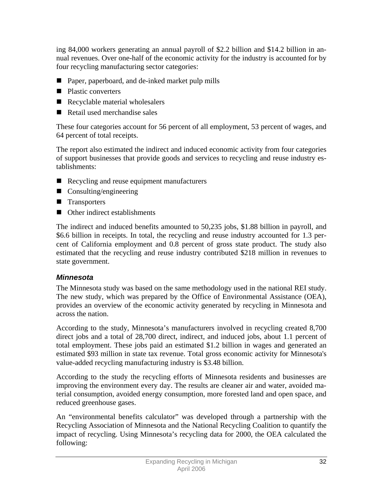ing 84,000 workers generating an annual payroll of \$2.2 billion and \$14.2 billion in annual revenues. Over one-half of the economic activity for the industry is accounted for by four recycling manufacturing sector categories:

- Paper, paperboard, and de-inked market pulp mills
- Plastic converters
- Recyclable material wholesalers
- Retail used merchandise sales

These four categories account for 56 percent of all employment, 53 percent of wages, and 64 percent of total receipts.

The report also estimated the indirect and induced economic activity from four categories of support businesses that provide goods and services to recycling and reuse industry establishments:

- Recycling and reuse equipment manufacturers
- Consulting/engineering
- **Transporters**
- Other indirect establishments

The indirect and induced benefits amounted to 50,235 jobs, \$1.88 billion in payroll, and \$6.6 billion in receipts. In total, the recycling and reuse industry accounted for 1.3 percent of California employment and 0.8 percent of gross state product. The study also estimated that the recycling and reuse industry contributed \$218 million in revenues to state government.

### *Minnesota*

The Minnesota study was based on the same methodology used in the national REI study. The new study, which was prepared by the Office of Environmental Assistance (OEA), provides an overview of the economic activity generated by recycling in Minnesota and across the nation.

According to the study, Minnesota's manufacturers involved in recycling created 8,700 direct jobs and a total of 28,700 direct, indirect, and induced jobs, about 1.1 percent of total employment. These jobs paid an estimated \$1.2 billion in wages and generated an estimated \$93 million in state tax revenue. Total gross economic activity for Minnesota's value-added recycling manufacturing industry is \$3.48 billion.

According to the study the recycling efforts of Minnesota residents and businesses are improving the environment every day. The results are cleaner air and water, avoided material consumption, avoided energy consumption, more forested land and open space, and reduced greenhouse gases.

An "environmental benefits calculator" was developed through a partnership with the Recycling Association of Minnesota and the National Recycling Coalition to quantify the impact of recycling. Using Minnesota's recycling data for 2000, the OEA calculated the following: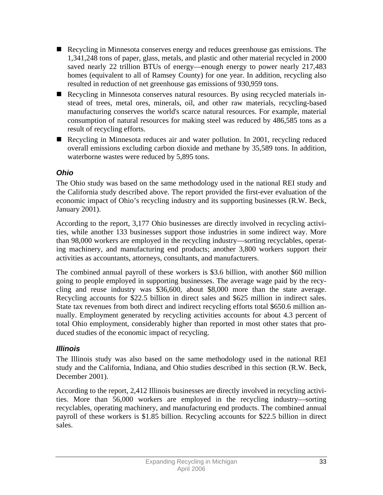- Recycling in Minnesota conserves energy and reduces greenhouse gas emissions. The 1,341,248 tons of paper, glass, metals, and plastic and other material recycled in 2000 saved nearly 22 trillion BTUs of energy—enough energy to power nearly 217,483 homes (equivalent to all of Ramsey County) for one year. In addition, recycling also resulted in reduction of net greenhouse gas emissions of 930,959 tons.
- Recycling in Minnesota conserves natural resources. By using recycled materials instead of trees, metal ores, minerals, oil, and other raw materials, recycling-based manufacturing conserves the world's scarce natural resources. For example, material consumption of natural resources for making steel was reduced by 486,585 tons as a result of recycling efforts.
- Recycling in Minnesota reduces air and water pollution. In 2001, recycling reduced overall emissions excluding carbon dioxide and methane by 35,589 tons. In addition, waterborne wastes were reduced by 5,895 tons.

### *Ohio*

The Ohio study was based on the same methodology used in the national REI study and the California study described above. The report provided the first-ever evaluation of the economic impact of Ohio's recycling industry and its supporting businesses (R.W. Beck, January 2001).

According to the report, 3,177 Ohio businesses are directly involved in recycling activities, while another 133 businesses support those industries in some indirect way. More than 98,000 workers are employed in the recycling industry—sorting recyclables, operating machinery, and manufacturing end products; another 3,800 workers support their activities as accountants, attorneys, consultants, and manufacturers.

The combined annual payroll of these workers is \$3.6 billion, with another \$60 million going to people employed in supporting businesses. The average wage paid by the recycling and reuse industry was \$36,600, about \$8,000 more than the state average. Recycling accounts for \$22.5 billion in direct sales and \$625 million in indirect sales. State tax revenues from both direct and indirect recycling efforts total \$650.6 million annually. Employment generated by recycling activities accounts for about 4.3 percent of total Ohio employment, considerably higher than reported in most other states that produced studies of the economic impact of recycling.

### *Illinois*

The Illinois study was also based on the same methodology used in the national REI study and the California, Indiana, and Ohio studies described in this section (R.W. Beck, December 2001).

According to the report, 2,412 Illinois businesses are directly involved in recycling activities. More than 56,000 workers are employed in the recycling industry—sorting recyclables, operating machinery, and manufacturing end products. The combined annual payroll of these workers is \$1.85 billion. Recycling accounts for \$22.5 billion in direct sales.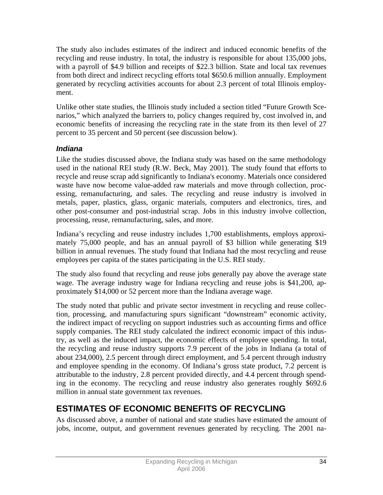The study also includes estimates of the indirect and induced economic benefits of the recycling and reuse industry. In total, the industry is responsible for about 135,000 jobs, with a payroll of \$4.9 billion and receipts of \$22.3 billion. State and local tax revenues from both direct and indirect recycling efforts total \$650.6 million annually. Employment generated by recycling activities accounts for about 2.3 percent of total Illinois employment.

Unlike other state studies, the Illinois study included a section titled "Future Growth Scenarios," which analyzed the barriers to, policy changes required by, cost involved in, and economic benefits of increasing the recycling rate in the state from its then level of 27 percent to 35 percent and 50 percent (see discussion below).

### *Indiana*

Like the studies discussed above, the Indiana study was based on the same methodology used in the national REI study (R.W. Beck, May 2001). The study found that efforts to recycle and reuse scrap add significantly to Indiana's economy. Materials once considered waste have now become value-added raw materials and move through collection, processing, remanufacturing, and sales. The recycling and reuse industry is involved in metals, paper, plastics, glass, organic materials, computers and electronics, tires, and other post-consumer and post-industrial scrap. Jobs in this industry involve collection, processing, reuse, remanufacturing, sales, and more.

Indiana's recycling and reuse industry includes 1,700 establishments, employs approximately 75,000 people, and has an annual payroll of \$3 billion while generating \$19 billion in annual revenues. The study found that Indiana had the most recycling and reuse employees per capita of the states participating in the U.S. REI study.

The study also found that recycling and reuse jobs generally pay above the average state wage. The average industry wage for Indiana recycling and reuse jobs is \$41,200, approximately \$14,000 or 52 percent more than the Indiana average wage.

The study noted that public and private sector investment in recycling and reuse collection, processing, and manufacturing spurs significant "downstream" economic activity, the indirect impact of recycling on support industries such as accounting firms and office supply companies. The REI study calculated the indirect economic impact of this industry, as well as the induced impact, the economic effects of employee spending. In total, the recycling and reuse industry supports 7.9 percent of the jobs in Indiana (a total of about 234,000), 2.5 percent through direct employment, and 5.4 percent through industry and employee spending in the economy. Of Indiana's gross state product, 7.2 percent is attributable to the industry, 2.8 percent provided directly, and 4.4 percent through spending in the economy. The recycling and reuse industry also generates roughly \$692.6 million in annual state government tax revenues.

# **ESTIMATES OF ECONOMIC BENEFITS OF RECYCLING**

As discussed above, a number of national and state studies have estimated the amount of jobs, income, output, and government revenues generated by recycling. The 2001 na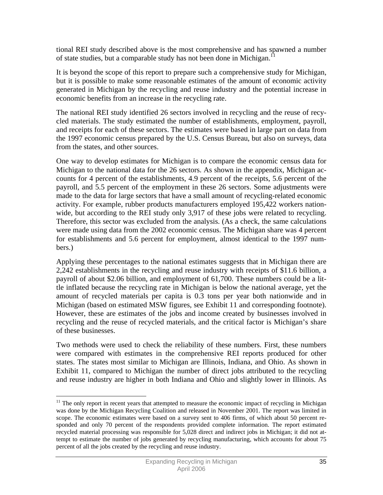tional REI study described above is the most comprehensive and has spawned a number of state studies, but a comparable study has not been done in Michigan.<sup>11</sup>

It is beyond the scope of this report to prepare such a comprehensive study for Michigan, but it is possible to make some reasonable estimates of the amount of economic activity generated in Michigan by the recycling and reuse industry and the potential increase in economic benefits from an increase in the recycling rate.

The national REI study identified 26 sectors involved in recycling and the reuse of recycled materials. The study estimated the number of establishments, employment, payroll, and receipts for each of these sectors. The estimates were based in large part on data from the 1997 economic census prepared by the U.S. Census Bureau, but also on surveys, data from the states, and other sources.

One way to develop estimates for Michigan is to compare the economic census data for Michigan to the national data for the 26 sectors. As shown in the appendix, Michigan accounts for 4 percent of the establishments, 4.9 percent of the receipts, 5.6 percent of the payroll, and 5.5 percent of the employment in these 26 sectors. Some adjustments were made to the data for large sectors that have a small amount of recycling-related economic activity. For example, rubber products manufacturers employed 195,422 workers nationwide, but according to the REI study only 3,917 of these jobs were related to recycling. Therefore, this sector was excluded from the analysis. (As a check, the same calculations were made using data from the 2002 economic census. The Michigan share was 4 percent for establishments and 5.6 percent for employment, almost identical to the 1997 numbers.)

Applying these percentages to the national estimates suggests that in Michigan there are 2,242 establishments in the recycling and reuse industry with receipts of \$11.6 billion, a payroll of about \$2.06 billion, and employment of 61,700. These numbers could be a little inflated because the recycling rate in Michigan is below the national average, yet the amount of recycled materials per capita is 0.3 tons per year both nationwide and in Michigan (based on estimated MSW figures, see Exhibit 11 and corresponding footnote). However, these are estimates of the jobs and income created by businesses involved in recycling and the reuse of recycled materials, and the critical factor is Michigan's share of these businesses.

Two methods were used to check the reliability of these numbers. First, these numbers were compared with estimates in the comprehensive REI reports produced for other states. The states most similar to Michigan are Illinois, Indiana, and Ohio. As shown in Exhibit 11, compared to Michigan the number of direct jobs attributed to the recycling and reuse industry are higher in both Indiana and Ohio and slightly lower in Illinois. As

 $\overline{a}$ 

 $11$  The only report in recent years that attempted to measure the economic impact of recycling in Michigan was done by the Michigan Recycling Coalition and released in November 2001. The report was limited in scope. The economic estimates were based on a survey sent to 406 firms, of which about 50 percent responded and only 70 percent of the respondents provided complete information. The report estimated recycled material processing was responsible for 5,028 direct and indirect jobs in Michigan; it did not attempt to estimate the number of jobs generated by recycling manufacturing, which accounts for about 75 percent of all the jobs created by the recycling and reuse industry.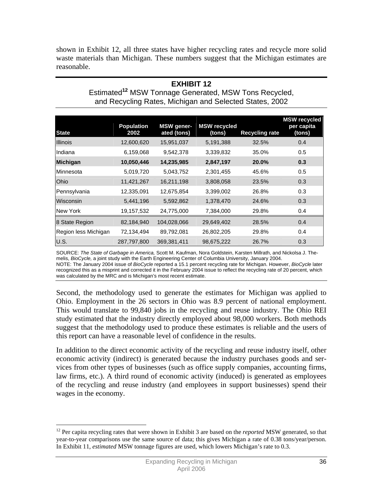shown in Exhibit 12, all three states have higher recycling rates and recycle more solid waste materials than Michigan. These numbers suggest that the Michigan estimates are reasonable.

#### **EXHIBIT 12**  Estimated**<sup>12</sup>** MSW Tonnage Generated, MSW Tons Recycled, and Recycling Rates, Michigan and Selected States, 2002

| <b>State</b>         | <b>Population</b><br>2002 | <b>MSW</b> gener-<br>ated (tons) | <b>MSW</b> recycled<br>(tons) | <b>Recycling rate</b> | <b>MSW</b> recycled<br>per capita<br>(tons) |
|----------------------|---------------------------|----------------------------------|-------------------------------|-----------------------|---------------------------------------------|
| <b>Illinois</b>      | 12,600,620                | 15,951,037                       | 5,191,388                     | 32.5%                 | 0.4                                         |
| Indiana              | 6,159,068                 | 9,542,378                        | 3,339,832                     | 35.0%                 | 0.5                                         |
| <b>Michigan</b>      | 10,050,446                | 14,235,985                       | 2,847,197                     | 20.0%                 | 0.3                                         |
| <b>Minnesota</b>     | 5,019,720                 | 5,043,752                        | 2,301,455                     | 45.6%                 | 0.5                                         |
| <b>Ohio</b>          | 11,421,267                | 16,211,198                       | 3,808,058                     | 23.5%                 | 0.3                                         |
| Pennsylvania         | 12,335,091                | 12,675,854                       | 3,399,002                     | 26.8%                 | 0.3                                         |
| Wisconsin            | 5,441,196                 | 5,592,862                        | 1,378,470                     | 24.6%                 | 0.3                                         |
| New York             | 19,157,532                | 24,775,000                       | 7,384,000                     | 29.8%                 | 0.4                                         |
| 8 State Region       | 82,184,940                | 104,028,066                      | 29,649,402                    | 28.5%                 | 0.4                                         |
| Region less Michigan | 72,134,494                | 89,792,081                       | 26,802,205                    | 29.8%                 | 0.4                                         |
| U.S.                 | 287,797,800               | 369,381,411                      | 98,675,222                    | 26.7%                 | 0.3                                         |

SOURCE: *The State of Garbage in America,* Scott M. Kaufman, Nora Goldstein, Karsten Millrath, and Nickolsa J. Themelis, *BioCycle,* a joint study with the Earth Engineering Center of Columbia University, January 2004.

NOTE: The January 2004 issue of *BioCycle* reported a 15.1 percent recycling rate for Michigan. However, *BioCycle* later recognized this as a misprint and corrected it in the February 2004 issue to reflect the recycling rate of 20 percent, which was calculated by the MRC and is Michigan's most recent estimate.

Second, the methodology used to generate the estimates for Michigan was applied to Ohio. Employment in the 26 sectors in Ohio was 8.9 percent of national employment. This would translate to 99,840 jobs in the recycling and reuse industry. The Ohio REI study estimated that the industry directly employed about 98,000 workers. Both methods suggest that the methodology used to produce these estimates is reliable and the users of this report can have a reasonable level of confidence in the results.

In addition to the direct economic activity of the recycling and reuse industry itself, other economic activity (indirect) is generated because the industry purchases goods and services from other types of businesses (such as office supply companies, accounting firms, law firms, etc.). A third round of economic activity (induced) is generated as employees of the recycling and reuse industry (and employees in support businesses) spend their wages in the economy.

 $\overline{a}$ <sup>12</sup> Per capita recycling rates that were shown in Exhibit 3 are based on the *reported* MSW generated, so that year-to-year comparisons use the same source of data; this gives Michigan a rate of 0.38 tons/year/person. In Exhibit 11, *estimated* MSW tonnage figures are used, which lowers Michigan's rate to 0.3.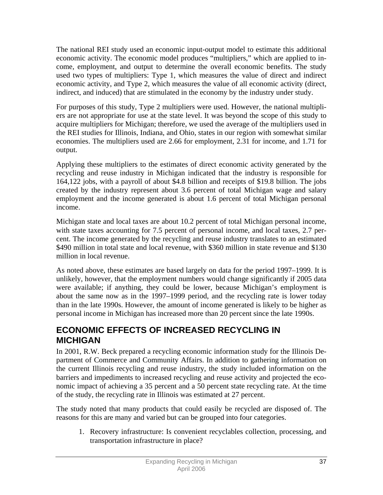The national REI study used an economic input-output model to estimate this additional economic activity. The economic model produces "multipliers," which are applied to income, employment, and output to determine the overall economic benefits. The study used two types of multipliers: Type 1, which measures the value of direct and indirect economic activity, and Type 2, which measures the value of all economic activity (direct, indirect, and induced) that are stimulated in the economy by the industry under study.

For purposes of this study, Type 2 multipliers were used. However, the national multipliers are not appropriate for use at the state level. It was beyond the scope of this study to acquire multipliers for Michigan; therefore, we used the average of the multipliers used in the REI studies for Illinois, Indiana, and Ohio, states in our region with somewhat similar economies. The multipliers used are 2.66 for employment, 2.31 for income, and 1.71 for output.

Applying these multipliers to the estimates of direct economic activity generated by the recycling and reuse industry in Michigan indicated that the industry is responsible for 164,122 jobs, with a payroll of about \$4.8 billion and receipts of \$19.8 billion. The jobs created by the industry represent about 3.6 percent of total Michigan wage and salary employment and the income generated is about 1.6 percent of total Michigan personal income.

Michigan state and local taxes are about 10.2 percent of total Michigan personal income, with state taxes accounting for 7.5 percent of personal income, and local taxes, 2.7 percent. The income generated by the recycling and reuse industry translates to an estimated \$490 million in total state and local revenue, with \$360 million in state revenue and \$130 million in local revenue.

As noted above, these estimates are based largely on data for the period 1997–1999. It is unlikely, however, that the employment numbers would change significantly if 2005 data were available; if anything, they could be lower, because Michigan's employment is about the same now as in the 1997–1999 period, and the recycling rate is lower today than in the late 1990s. However, the amount of income generated is likely to be higher as personal income in Michigan has increased more than 20 percent since the late 1990s.

## **ECONOMIC EFFECTS OF INCREASED RECYCLING IN MICHIGAN**

In 2001, R.W. Beck prepared a recycling economic information study for the Illinois Department of Commerce and Community Affairs. In addition to gathering information on the current Illinois recycling and reuse industry, the study included information on the barriers and impediments to increased recycling and reuse activity and projected the economic impact of achieving a 35 percent and a 50 percent state recycling rate. At the time of the study, the recycling rate in Illinois was estimated at 27 percent.

The study noted that many products that could easily be recycled are disposed of. The reasons for this are many and varied but can be grouped into four categories.

1. Recovery infrastructure: Is convenient recyclables collection, processing, and transportation infrastructure in place?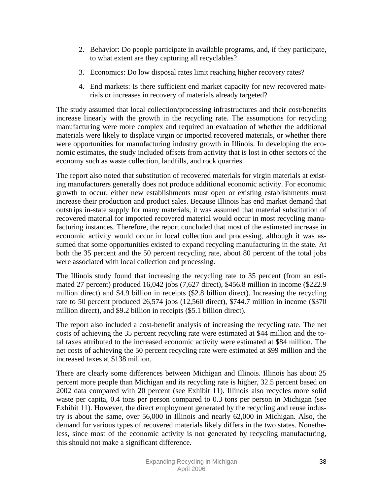- 2. Behavior: Do people participate in available programs, and, if they participate, to what extent are they capturing all recyclables?
- 3. Economics: Do low disposal rates limit reaching higher recovery rates?
- 4. End markets: Is there sufficient end market capacity for new recovered materials or increases in recovery of materials already targeted?

The study assumed that local collection/processing infrastructures and their cost/benefits increase linearly with the growth in the recycling rate. The assumptions for recycling manufacturing were more complex and required an evaluation of whether the additional materials were likely to displace virgin or imported recovered materials, or whether there were opportunities for manufacturing industry growth in Illinois. In developing the economic estimates, the study included offsets from activity that is lost in other sectors of the economy such as waste collection, landfills, and rock quarries.

The report also noted that substitution of recovered materials for virgin materials at existing manufacturers generally does not produce additional economic activity. For economic growth to occur, either new establishments must open or existing establishments must increase their production and product sales. Because Illinois has end market demand that outstrips in-state supply for many materials, it was assumed that material substitution of recovered material for imported recovered material would occur in most recycling manufacturing instances. Therefore, the report concluded that most of the estimated increase in economic activity would occur in local collection and processing, although it was assumed that some opportunities existed to expand recycling manufacturing in the state. At both the 35 percent and the 50 percent recycling rate, about 80 percent of the total jobs were associated with local collection and processing.

The Illinois study found that increasing the recycling rate to 35 percent (from an estimated 27 percent) produced 16,042 jobs (7,627 direct), \$456.8 million in income (\$222.9 million direct) and \$4.9 billion in receipts (\$2.8 billion direct). Increasing the recycling rate to 50 percent produced 26,574 jobs (12,560 direct), \$744.7 million in income (\$370 million direct), and \$9.2 billion in receipts (\$5.1 billion direct).

The report also included a cost-benefit analysis of increasing the recycling rate. The net costs of achieving the 35 percent recycling rate were estimated at \$44 million and the total taxes attributed to the increased economic activity were estimated at \$84 million. The net costs of achieving the 50 percent recycling rate were estimated at \$99 million and the increased taxes at \$138 million.

There are clearly some differences between Michigan and Illinois. Illinois has about 25 percent more people than Michigan and its recycling rate is higher, 32.5 percent based on 2002 data compared with 20 percent (see Exhibit 11). Illinois also recycles more solid waste per capita, 0.4 tons per person compared to 0.3 tons per person in Michigan (see Exhibit 11). However, the direct employment generated by the recycling and reuse industry is about the same, over 56,000 in Illinois and nearly 62,000 in Michigan. Also, the demand for various types of recovered materials likely differs in the two states. Nonetheless, since most of the economic activity is not generated by recycling manufacturing, this should not make a significant difference.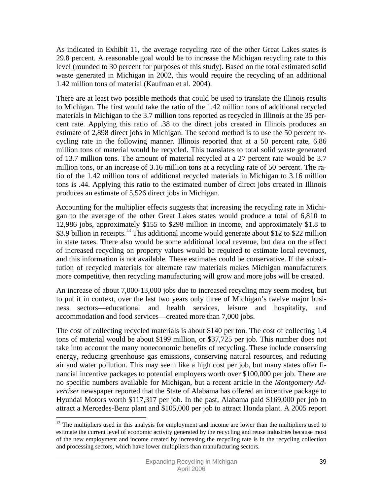As indicated in Exhibit 11, the average recycling rate of the other Great Lakes states is 29.8 percent. A reasonable goal would be to increase the Michigan recycling rate to this level (rounded to 30 percent for purposes of this study). Based on the total estimated solid waste generated in Michigan in 2002, this would require the recycling of an additional 1.42 million tons of material (Kaufman et al. 2004).

There are at least two possible methods that could be used to translate the Illinois results to Michigan. The first would take the ratio of the 1.42 million tons of additional recycled materials in Michigan to the 3.7 million tons reported as recycled in Illinois at the 35 percent rate. Applying this ratio of .38 to the direct jobs created in Illinois produces an estimate of 2,898 direct jobs in Michigan. The second method is to use the 50 percent recycling rate in the following manner. Illinois reported that at a 50 percent rate, 6.86 million tons of material would be recycled. This translates to total solid waste generated of 13.7 million tons. The amount of material recycled at a 27 percent rate would be 3.7 million tons, or an increase of 3.16 million tons at a recycling rate of 50 percent. The ratio of the 1.42 million tons of additional recycled materials in Michigan to 3.16 million tons is .44. Applying this ratio to the estimated number of direct jobs created in Illinois produces an estimate of 5,526 direct jobs in Michigan.

Accounting for the multiplier effects suggests that increasing the recycling rate in Michigan to the average of the other Great Lakes states would produce a total of 6,810 to 12,986 jobs, approximately \$155 to \$298 million in income, and approximately \$1.8 to \$3.9 billion in receipts.<sup>13</sup> This additional income would generate about \$12 to \$22 million in state taxes. There also would be some additional local revenue, but data on the effect of increased recycling on property values would be required to estimate local revenues, and this information is not available. These estimates could be conservative. If the substitution of recycled materials for alternate raw materials makes Michigan manufacturers more competitive, then recycling manufacturing will grow and more jobs will be created.

An increase of about 7,000-13,000 jobs due to increased recycling may seem modest, but to put it in context, over the last two years only three of Michigan's twelve major business sectors—educational and health services, leisure and hospitality, and accommodation and food services—created more than 7,000 jobs.

The cost of collecting recycled materials is about \$140 per ton. The cost of collecting 1.4 tons of material would be about \$199 million, or \$37,725 per job. This number does not take into account the many noneconomic benefits of recycling. These include conserving energy, reducing greenhouse gas emissions, conserving natural resources, and reducing air and water pollution. This may seem like a high cost per job, but many states offer financial incentive packages to potential employers worth over \$100,000 per job. There are no specific numbers available for Michigan, but a recent article in the *Montgomery Advertiser* newspaper reported that the State of Alabama has offered an incentive package to Hyundai Motors worth \$117,317 per job. In the past, Alabama paid \$169,000 per job to attract a Mercedes-Benz plant and \$105,000 per job to attract Honda plant. A 2005 report

 $\overline{a}$ 

<sup>&</sup>lt;sup>13</sup> The multipliers used in this analysis for employment and income are lower than the multipliers used to estimate the current level of economic activity generated by the recycling and reuse industries because most of the new employment and income created by increasing the recycling rate is in the recycling collection and processing sectors, which have lower multipliers than manufacturing sectors.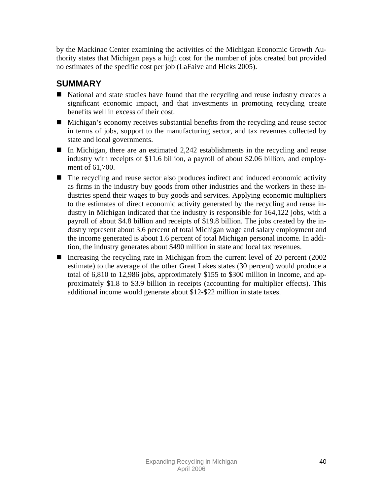by the Mackinac Center examining the activities of the Michigan Economic Growth Authority states that Michigan pays a high cost for the number of jobs created but provided no estimates of the specific cost per job (LaFaive and Hicks 2005).

# **SUMMARY**

- National and state studies have found that the recycling and reuse industry creates a significant economic impact, and that investments in promoting recycling create benefits well in excess of their cost.
- Michigan's economy receives substantial benefits from the recycling and reuse sector in terms of jobs, support to the manufacturing sector, and tax revenues collected by state and local governments.
- In Michigan, there are an estimated  $2,242$  establishments in the recycling and reuse industry with receipts of \$11.6 billion, a payroll of about \$2.06 billion, and employment of 61,700.
- The recycling and reuse sector also produces indirect and induced economic activity as firms in the industry buy goods from other industries and the workers in these industries spend their wages to buy goods and services. Applying economic multipliers to the estimates of direct economic activity generated by the recycling and reuse industry in Michigan indicated that the industry is responsible for 164,122 jobs, with a payroll of about \$4.8 billion and receipts of \$19.8 billion. The jobs created by the industry represent about 3.6 percent of total Michigan wage and salary employment and the income generated is about 1.6 percent of total Michigan personal income. In addition, the industry generates about \$490 million in state and local tax revenues.
- Increasing the recycling rate in Michigan from the current level of 20 percent (2002) estimate) to the average of the other Great Lakes states (30 percent) would produce a total of 6,810 to 12,986 jobs, approximately \$155 to \$300 million in income, and approximately \$1.8 to \$3.9 billion in receipts (accounting for multiplier effects). This additional income would generate about \$12-\$22 million in state taxes.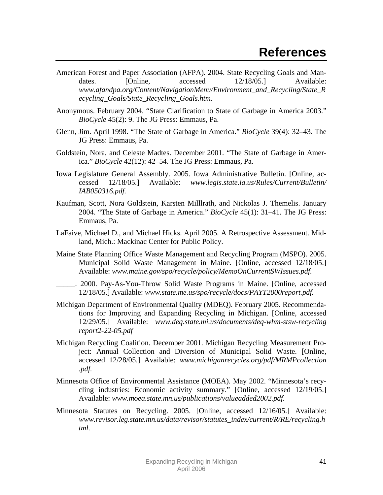- American Forest and Paper Association (AFPA). 2004. State Recycling Goals and Mandates. [Online, accessed 12/18/05.] Available: *www.afandpa.org/Content/NavigationMenu/Environment\_and\_Recycling/State\_R ecycling\_Goals/State\_Recycling\_Goals.htm*.
- Anonymous. February 2004. "State Clarification to State of Garbage in America 2003." *BioCycle* 45(2): 9. The JG Press: Emmaus, Pa.
- Glenn, Jim. April 1998. "The State of Garbage in America." *BioCycle* 39(4): 32–43. The JG Press: Emmaus, Pa.
- Goldstein, Nora, and Celeste Madtes. December 2001. "The State of Garbage in America." *BioCycle* 42(12): 42–54. The JG Press: Emmaus, Pa.
- Iowa Legislature General Assembly. 2005. Iowa Administrative Bulletin. [Online, accessed 12/18/05.] Available: *www.legis.state.ia.us/Rules/Current/Bulletin/ IAB050316.pdf.*
- Kaufman, Scott, Nora Goldstein, Karsten Milllrath, and Nickolas J. Themelis. January 2004. "The State of Garbage in America." *BioCycle* 45(1): 31–41. The JG Press: Emmaus, Pa.
- LaFaive, Michael D., and Michael Hicks. April 2005. A Retrospective Assessment. Midland, Mich.: Mackinac Center for Public Policy.
- Maine State Planning Office Waste Management and Recycling Program (MSPO). 2005. Municipal Solid Waste Management in Maine. [Online, accessed 12/18/05.] Available: *www.maine.gov/spo/recycle/policy/MemoOnCurrentSWIssues.pdf.*
- \_\_\_\_\_. 2000. Pay-As-You-Throw Solid Waste Programs in Maine. [Online, accessed 12/18/05.] Available: *www.state.me.us/spo/recycle/docs/PAYT2000report.pdf.*
- Michigan Department of Environmental Quality (MDEQ). February 2005. Recommendations for Improving and Expanding Recycling in Michigan. [Online, accessed 12/29/05.] Available: *www.deq.state.mi.us/documents/deq-whm-stsw-recycling report2-22-05.pdf*
- Michigan Recycling Coalition. December 2001. Michigan Recycling Measurement Project: Annual Collection and Diversion of Municipal Solid Waste. [Online, accessed 12/28/05.] Available: *www.michiganrecycles.org/pdf/MRMPcollection .pdf.*
- Minnesota Office of Environmental Assistance (MOEA). May 2002. "Minnesota's recycling industries: Economic activity summary." [Online, accessed 12/19/05.] Available: *www.moea.state.mn.us/publications/valueadded2002.pdf.*
- Minnesota Statutes on Recycling. 2005. [Online, accessed 12/16/05.] Available: *www.revisor.leg.state.mn.us/data/revisor/statutes\_index/current/R/RE/recycling.h tml.*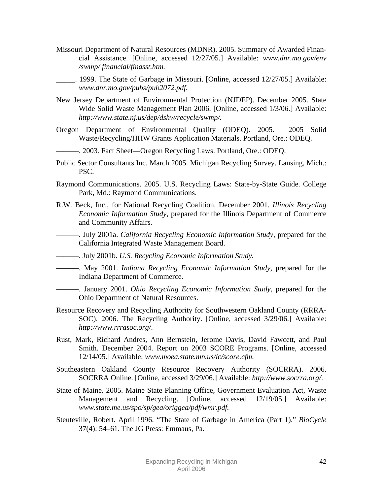- Missouri Department of Natural Resources (MDNR). 2005. Summary of Awarded Financial Assistance. [Online, accessed 12/27/05.] Available: *www.dnr.mo.gov/env /swmp/ financial/finasst.htm.* 
	- \_\_\_\_\_. 1999. The State of Garbage in Missouri. [Online, accessed 12/27/05.] Available: *www.dnr.mo.gov/pubs/pub2072.pdf.*
- New Jersey Department of Environmental Protection (NJDEP). December 2005. State Wide Solid Waste Management Plan 2006. [Online, accessed 1/3/06.] Available: *http://www.state.nj.us/dep/dshw/recycle/swmp/.*
- Oregon Department of Environmental Quality (ODEQ). 2005. 2005 Solid Waste/Recycling/HHW Grants Application Materials. Portland, Ore.: ODEQ.
- ———. 2003. Fact Sheet—Oregon Recycling Laws. Portland, Ore.: ODEQ.
- Public Sector Consultants Inc. March 2005. Michigan Recycling Survey. Lansing, Mich.: PSC.
- Raymond Communications. 2005. U.S. Recycling Laws: State-by-State Guide. College Park, Md.: Raymond Communications.
- R.W. Beck, Inc., for National Recycling Coalition. December 2001. *Illinois Recycling Economic Information Study*, prepared for the Illinois Department of Commerce and Community Affairs.
- ———. July 2001a. *California Recycling Economic Information Study*, prepared for the California Integrated Waste Management Board.
- ———. July 2001b. *U.S. Recycling Economic Information Study.*
- ———. May 2001. *Indiana Recycling Economic Information Study,* prepared for the Indiana Department of Commerce.
- ———. January 2001. *Ohio Recycling Economic Information Study,* prepared for the Ohio Department of Natural Resources.
- Resource Recovery and Recycling Authority for Southwestern Oakland County (RRRA-SOC). 2006. The Recycling Authority. [Online, accessed 3/29/06.] Available: *http://www.rrrasoc.org/*.
- Rust, Mark, Richard Andres, Ann Bernstein, Jerome Davis, David Fawcett, and Paul Smith. December 2004. Report on 2003 SCORE Programs. [Online, accessed 12/14/05.] Available: *www.moea.state.mn.us/lc/score.cfm.*
- Southeastern Oakland County Resource Recovery Authority (SOCRRA). 2006. SOCRRA Online. [Online, accessed 3/29/06.] Available: *http://www.socrra.org/*.
- State of Maine. 2005. Maine State Planning Office, Government Evaluation Act, Waste Management and Recycling. [Online, accessed 12/19/05.] Available: *www.state.me.us/spo/sp/gea/origgea/pdf/wmr.pdf.*
- Steuteville, Robert. April 1996. "The State of Garbage in America (Part 1)." *BioCycle* 37(4): 54–61. The JG Press: Emmaus, Pa.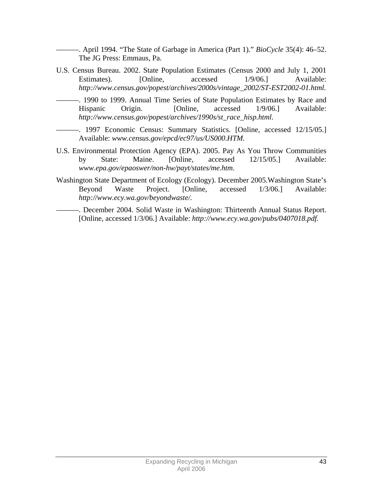———. April 1994. "The State of Garbage in America (Part 1)." *BioCycle* 35(4): 46–52. The JG Press: Emmaus, Pa.

- U.S. Census Bureau. 2002. State Population Estimates (Census 2000 and July 1, 2001 Estimates). [Online, accessed  $1/9/06$ .] Available: *http://www.census.gov/popest/archives/2000s/vintage\_2002/ST-EST2002-01.html.* 
	- ———. 1990 to 1999. Annual Time Series of State Population Estimates by Race and Hispanic Origin. [Online, accessed 1/9/06.] Available: *http://www.census.gov/popest/archives/1990s/st\_race\_hisp.html*.
	- ———. 1997 Economic Census: Summary Statistics. [Online, accessed 12/15/05.] Available: *www.census.gov/epcd/ec97/us/US000.HTM.*
- U.S. Environmental Protection Agency (EPA). 2005. Pay As You Throw Communities by State: Maine. [Online, accessed 12/15/05.] Available: *www.epa.gov/epaoswer/non-hw/payt/states/me.htm.*
- Washington State Department of Ecology (Ecology). December 2005.Washington State's Beyond Waste Project. [Online, accessed 1/3/06.] Available: *http://www.ecy.wa.gov/beyondwaste/.*
- ———. December 2004. Solid Waste in Washington: Thirteenth Annual Status Report. [Online, accessed 1/3/06.] Available: *http://www.ecy.wa.gov/pubs/0407018.pdf.*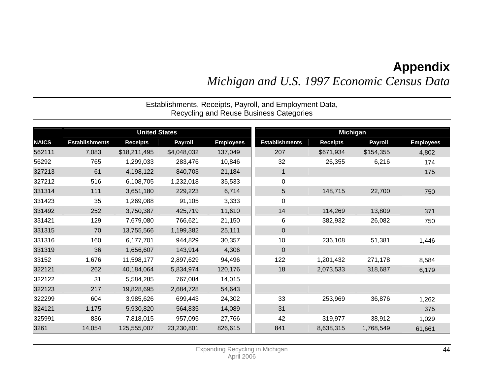# **Appendix**

*Michigan and U.S. 1997 Economic Census Data* 

Recycling and Reuse Business Categories United States **Michigan Michigan Michigan NAICS Establishments Receipts Payroll Employees Establishments Receipts Payroll Employees**  562111 7,083 \$18,211,495 \$4,048,032 137,049 207 \$671,934 \$154,355 4,802 56292 765 1,299,033 283,476 10,846 32 26,355 6,216 174 327213 61 4,198,122 840,703 21,184 1 175 327212 516 6,108,705 1,232,018 35,533 0 331314 111 3,651,180 229,223 6,714 5 148,715 22,700 750 331423 35 1,269,088 91,105 3,333 0 331492 252 3,750,387 425,719 11,610 14 114,269 13,809 371 331421 129 7,679,080 766,621 21,150 6 382,932 26,082 750 331315 70 13,755,566 1,199,382 25,111 0 331316 160 6,177,701 944,829 30,357 10 236,108 51,381 1,446 |331319 36 1,656,607 143,914 4,306 | 0 33152 1,676 11,598,177 2,897,629 94,496 122 1,201,432 271,178 8,584 322121 262 40,184,064 5,834,974 120,176 18 2,073,533 318,687 6,179 322122 31 5,584,285 767,084 14,015 322123 217 19,828,695 2,684,728 54,643 322299 604 3,985,626 699,443 24,302 33 253,969 36,876 1,262 324121 1,175 5,930,820 564,835 14,089 31 375 325991 836 7,818,015 957,095 27,766 42 319,977 38,912 1,029 3261 14,054 125,555,007 23,230,801 826,615 841 8,638,315 1,768,549 61,661

# Establishments, Receipts, Payroll, and Employment Data,